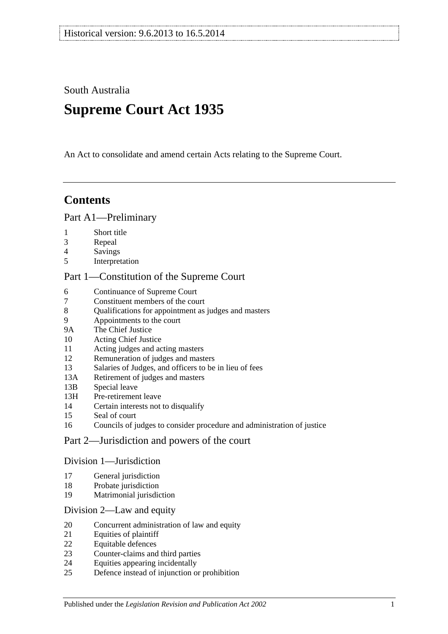South Australia

# **Supreme Court Act 1935**

An Act to consolidate and amend certain Acts relating to the Supreme Court.

# **Contents**

### [Part A1—Preliminary](#page-3-0)

- [Short title](#page-3-1)
- [Repeal](#page-3-2)
- [Savings](#page-3-3)
- [Interpretation](#page-3-4)

### [Part 1—Constitution of the Supreme Court](#page-5-0)

- [Continuance of](#page-5-1) Supreme Court<br>7 Constituent members of the cou
- [Constituent members of the court](#page-5-2)
- [Qualifications for appointment as judges and masters](#page-5-3)
- [Appointments to the court](#page-5-4)
- 9A [The Chief Justice](#page-6-0)
- [Acting Chief Justice](#page-6-1)
- [Acting judges and acting masters](#page-6-2)
- [Remuneration of judges and masters](#page-7-0)
- [Salaries of Judges, and officers to be in lieu of fees](#page-7-1)
- 13A [Retirement of judges and masters](#page-7-2)
- 13B [Special leave](#page-7-3)
- 13H [Pre-retirement leave](#page-8-0)
- [Certain interests not to disqualify](#page-9-0)
- [Seal of court](#page-9-1)
- [Councils of judges to consider procedure and administration of justice](#page-9-2)

### [Part 2—Jurisdiction and powers of the court](#page-9-3)

### [Division 1—Jurisdiction](#page-9-4)

- [General jurisdiction](#page-9-5)
- [Probate jurisdiction](#page-10-0)
- [Matrimonial jurisdiction](#page-10-1)

### [Division 2—Law and equity](#page-10-2)

- [Concurrent administration of law and equity](#page-10-3)
- [Equities of plaintiff](#page-11-0)
- [Equitable defences](#page-11-1)
- [Counter-claims and third parties](#page-11-2)
- [Equities appearing incidentally](#page-11-3)
- [Defence instead of injunction or prohibition](#page-12-0)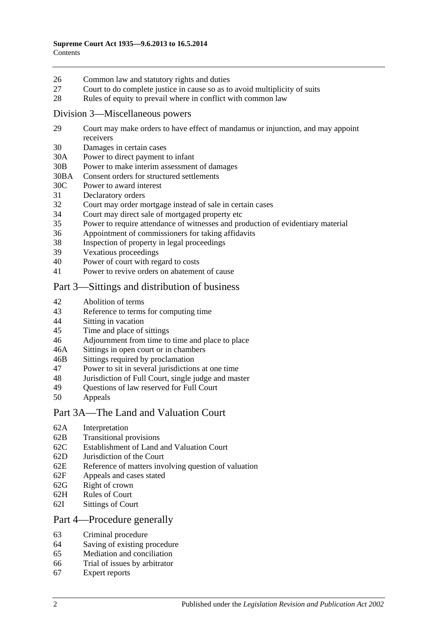- 26 [Common law and statutory rights and duties](#page-12-1)
- 27 [Court to do complete justice in cause so as to avoid multiplicity of suits](#page-12-2)
- 28 [Rules of equity to prevail where in conflict with common law](#page-12-3)

### [Division 3—Miscellaneous powers](#page-13-0)

- 29 [Court may make orders to have effect of mandamus or injunction, and may appoint](#page-13-1)  [receivers](#page-13-1)
- 30 [Damages in certain cases](#page-13-2)
- 30A [Power to direct payment to infant](#page-13-3)
- 30B [Power to make interim assessment of damages](#page-13-4)
- 30BA [Consent orders for structured settlements](#page-16-0)
- 30C [Power to award interest](#page-16-1)
- 31 [Declaratory orders](#page-17-0)
- 32 [Court may order mortgage instead of sale in certain cases](#page-17-1)
- 34 [Court may direct sale of mortgaged property etc](#page-17-2)
- 35 [Power to require attendance of witnesses and production of evidentiary material](#page-17-3)
- 36 [Appointment of commissioners for taking affidavits](#page-18-0)
- 38 [Inspection of property in legal proceedings](#page-18-1)
- 39 [Vexatious proceedings](#page-18-2)
- 40 [Power of court with regard to costs](#page-19-0)
- 41 [Power to revive orders on abatement of cause](#page-19-1)

### [Part 3—Sittings and distribution of business](#page-19-2)

- 42 [Abolition of terms](#page-19-3)
- 43 [Reference to terms for computing time](#page-19-4)
- 44 Sitting [in vacation](#page-19-5)
- 45 [Time and place of sittings](#page-20-0)
- 46 [Adjournment from time to time and place to place](#page-20-1)
- 46A [Sittings in open court or in chambers](#page-20-2)
- 46B [Sittings required by proclamation](#page-20-3)
- 47 [Power to sit in several jurisdictions at one time](#page-20-4)
- 48 [Jurisdiction of Full Court, single judge and master](#page-20-5)
- 49 [Questions of law reserved for Full Court](#page-21-0)<br>50 Anneals
- **[Appeals](#page-21-1)**

### [Part 3A—The Land and Valuation Court](#page-22-0)

- 62A [Interpretation](#page-22-1)
- 62B [Transitional provisions](#page-23-0)
- 62C [Establishment of Land and Valuation Court](#page-23-1)
- 62D [Jurisdiction of the Court](#page-23-2)
- 62E [Reference of matters involving question of valuation](#page-24-0)
- 62F [Appeals and cases stated](#page-25-0)
- 62G [Right of crown](#page-25-1)
- 62H [Rules of Court](#page-25-2)
- 62I [Sittings of Court](#page-25-3)

### [Part 4—Procedure generally](#page-25-4)

- 63 [Criminal procedure](#page-25-5)
- 64 [Saving of existing procedure](#page-26-0)
- 65 [Mediation and conciliation](#page-26-1)
- 66 [Trial of issues by arbitrator](#page-26-2)
- 67 [Expert reports](#page-27-0)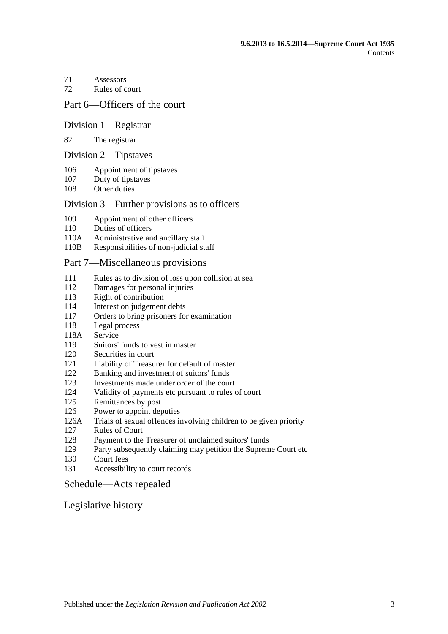[Assessors](#page-27-1)

[Rules of court](#page-27-2)

### [Part 6—Officers of the court](#page-29-0)

### [Division 1—Registrar](#page-29-1)

#### [The registrar](#page-29-2)

#### [Division 2—Tipstaves](#page-29-3)

- [Appointment of tipstaves](#page-29-4)
- [Duty of tipstaves](#page-29-5)
- [Other duties](#page-29-6)

### [Division 3—Further provisions as to officers](#page-29-7)

- [Appointment of other officers](#page-29-8)
- [Duties of officers](#page-30-0)
- 110A [Administrative and ancillary staff](#page-30-1)
- 110B [Responsibilities of non-judicial staff](#page-30-2)

### [Part 7—Miscellaneous provisions](#page-30-3)

- [Rules as to division of loss upon collision at sea](#page-30-4)
- [Damages for personal injuries](#page-31-0)<br>113 Right of contribution
- [Right of contribution](#page-31-1)
- [Interest on judgement debts](#page-31-2)
- [Orders to bring prisoners for examination](#page-31-3)
- [Legal process](#page-32-0)
- 118A [Service](#page-32-1)
- [Suitors' funds to vest in master](#page-32-2)
- [Securities in court](#page-32-3)
- [Liability of Treasurer for default of master](#page-32-4)
- [Banking and investment of suitors' funds](#page-32-5)
- [Investments made under order of the court](#page-33-0)
- [Validity of payments etc pursuant to rules of court](#page-33-1)
- [Remittances by post](#page-33-2)
- [Power to appoint deputies](#page-33-3)
- 126A [Trials of sexual offences involving children to be given priority](#page-33-4)
- [Rules of Court](#page-34-0)
- [Payment to the Treasurer of unclaimed suitors' funds](#page-34-1)
- [Party subsequently claiming may petition the Supreme Court etc](#page-34-2)
- [Court fees](#page-34-3)
- [Accessibility to court records](#page-35-0)

### [Schedule—Acts repealed](#page-36-0)

### [Legislative history](#page-39-0)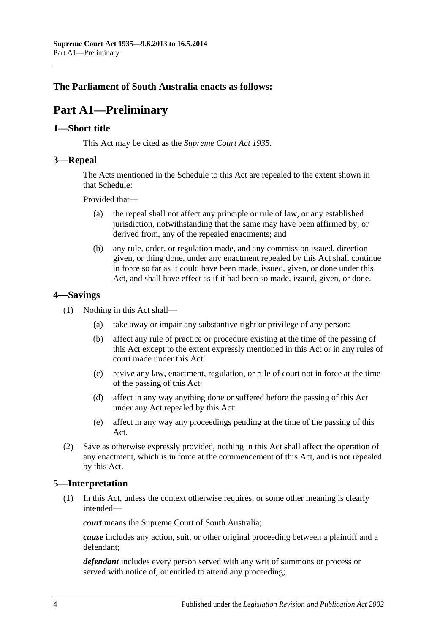### <span id="page-3-0"></span>**The Parliament of South Australia enacts as follows:**

# **Part A1—Preliminary**

### <span id="page-3-1"></span>**1—Short title**

This Act may be cited as the *Supreme Court Act 1935*.

### <span id="page-3-2"></span>**3—Repeal**

The Acts mentioned in the [Schedule](#page-36-0) to this Act are repealed to the extent shown in that [Schedule:](#page-36-0)

Provided that—

- (a) the repeal shall not affect any principle or rule of law, or any established jurisdiction, notwithstanding that the same may have been affirmed by, or derived from, any of the repealed enactments; and
- (b) any rule, order, or regulation made, and any commission issued, direction given, or thing done, under any enactment repealed by this Act shall continue in force so far as it could have been made, issued, given, or done under this Act, and shall have effect as if it had been so made, issued, given, or done.

### <span id="page-3-3"></span>**4—Savings**

- (1) Nothing in this Act shall—
	- (a) take away or impair any substantive right or privilege of any person:
	- (b) affect any rule of practice or procedure existing at the time of the passing of this Act except to the extent expressly mentioned in this Act or in any rules of court made under this Act:
	- (c) revive any law, enactment, regulation, or rule of court not in force at the time of the passing of this Act:
	- (d) affect in any way anything done or suffered before the passing of this Act under any Act repealed by this Act:
	- (e) affect in any way any proceedings pending at the time of the passing of this Act.
- (2) Save as otherwise expressly provided, nothing in this Act shall affect the operation of any enactment, which is in force at the commencement of this Act, and is not repealed by this Act.

### <span id="page-3-4"></span>**5—Interpretation**

(1) In this Act, unless the context otherwise requires, or some other meaning is clearly intended—

*court* means the Supreme Court of South Australia;

*cause* includes any action, suit, or other original proceeding between a plaintiff and a defendant;

*defendant* includes every person served with any writ of summons or process or served with notice of, or entitled to attend any proceeding;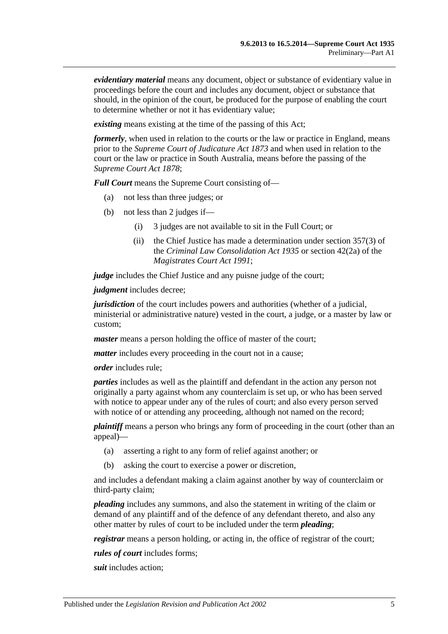*evidentiary material* means any document, object or substance of evidentiary value in proceedings before the court and includes any document, object or substance that should, in the opinion of the court, be produced for the purpose of enabling the court to determine whether or not it has evidentiary value;

*existing* means existing at the time of the passing of this Act;

*formerly*, when used in relation to the courts or the law or practice in England, means prior to the *[Supreme Court of Judicature Act](http://www.legislation.sa.gov.au/index.aspx?action=legref&type=act&legtitle=Supreme%20Court%20of%20Judicature%20Act%201873) 1873* and when used in relation to the court or the law or practice in South Australia, means before the passing of the *[Supreme Court Act](http://www.legislation.sa.gov.au/index.aspx?action=legref&type=act&legtitle=Supreme%20Court%20Act%201878) 1878*;

*Full Court* means the Supreme Court consisting of—

- (a) not less than three judges; or
- (b) not less than 2 judges if—
	- (i) 3 judges are not available to sit in the Full Court; or
	- (ii) the Chief Justice has made a determination under section 357(3) of the *[Criminal Law Consolidation Act](http://www.legislation.sa.gov.au/index.aspx?action=legref&type=act&legtitle=Criminal%20Law%20Consolidation%20Act%201935) 1935* or section 42(2a) of the *[Magistrates Court Act](http://www.legislation.sa.gov.au/index.aspx?action=legref&type=act&legtitle=Magistrates%20Court%20Act%201991) 1991*;

*judge* includes the Chief Justice and any puisne judge of the court;

*judgment* includes decree;

*jurisdiction* of the court includes powers and authorities (whether of a judicial, ministerial or administrative nature) vested in the court, a judge, or a master by law or custom;

*master* means a person holding the office of master of the court;

*matter* includes every proceeding in the court not in a cause;

*order* includes rule;

*parties* includes as well as the plaintiff and defendant in the action any person not originally a party against whom any counterclaim is set up, or who has been served with notice to appear under any of the rules of court; and also every person served with notice of or attending any proceeding, although not named on the record;

*plaintiff* means a person who brings any form of proceeding in the court (other than an appeal)—

- (a) asserting a right to any form of relief against another; or
- (b) asking the court to exercise a power or discretion,

and includes a defendant making a claim against another by way of counterclaim or third-party claim;

*pleading* includes any summons, and also the statement in writing of the claim or demand of any plaintiff and of the defence of any defendant thereto, and also any other matter by rules of court to be included under the term *pleading*;

*registrar* means a person holding, or acting in, the office of registrar of the court;

*rules of court* includes forms;

*suit* includes action;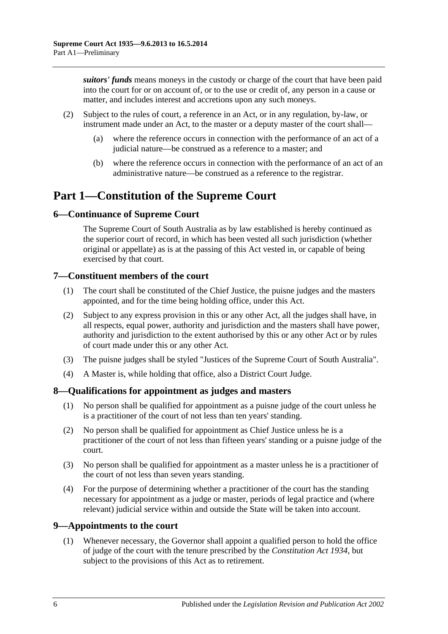*suitors' funds* means moneys in the custody or charge of the court that have been paid into the court for or on account of, or to the use or credit of, any person in a cause or matter, and includes interest and accretions upon any such moneys.

- (2) Subject to the rules of court, a reference in an Act, or in any regulation, by-law, or instrument made under an Act, to the master or a deputy master of the court shall—
	- (a) where the reference occurs in connection with the performance of an act of a judicial nature—be construed as a reference to a master; and
	- (b) where the reference occurs in connection with the performance of an act of an administrative nature—be construed as a reference to the registrar.

# <span id="page-5-0"></span>**Part 1—Constitution of the Supreme Court**

### <span id="page-5-1"></span>**6—Continuance of Supreme Court**

The Supreme Court of South Australia as by law established is hereby continued as the superior court of record, in which has been vested all such jurisdiction (whether original or appellate) as is at the passing of this Act vested in, or capable of being exercised by that court.

### <span id="page-5-2"></span>**7—Constituent members of the court**

- (1) The court shall be constituted of the Chief Justice, the puisne judges and the masters appointed, and for the time being holding office, under this Act.
- (2) Subject to any express provision in this or any other Act, all the judges shall have, in all respects, equal power, authority and jurisdiction and the masters shall have power, authority and jurisdiction to the extent authorised by this or any other Act or by rules of court made under this or any other Act.
- (3) The puisne judges shall be styled "Justices of the Supreme Court of South Australia".
- (4) A Master is, while holding that office, also a District Court Judge.

### <span id="page-5-3"></span>**8—Qualifications for appointment as judges and masters**

- (1) No person shall be qualified for appointment as a puisne judge of the court unless he is a practitioner of the court of not less than ten years' standing.
- (2) No person shall be qualified for appointment as Chief Justice unless he is a practitioner of the court of not less than fifteen years' standing or a puisne judge of the court.
- (3) No person shall be qualified for appointment as a master unless he is a practitioner of the court of not less than seven years standing.
- (4) For the purpose of determining whether a practitioner of the court has the standing necessary for appointment as a judge or master, periods of legal practice and (where relevant) judicial service within and outside the State will be taken into account.

### <span id="page-5-4"></span>**9—Appointments to the court**

(1) Whenever necessary, the Governor shall appoint a qualified person to hold the office of judge of the court with the tenure prescribed by the *[Constitution Act](http://www.legislation.sa.gov.au/index.aspx?action=legref&type=act&legtitle=Constitution%20Act%201934) 1934*, but subject to the provisions of this Act as to retirement.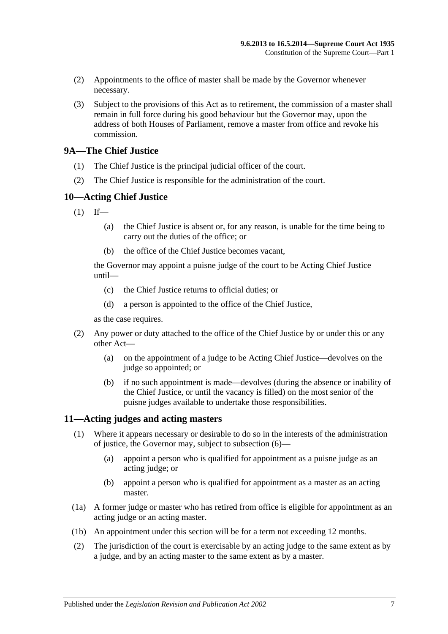- (2) Appointments to the office of master shall be made by the Governor whenever necessary.
- (3) Subject to the provisions of this Act as to retirement, the commission of a master shall remain in full force during his good behaviour but the Governor may, upon the address of both Houses of Parliament, remove a master from office and revoke his commission.

### <span id="page-6-0"></span>**9A—The Chief Justice**

- (1) The Chief Justice is the principal judicial officer of the court.
- (2) The Chief Justice is responsible for the administration of the court.

### <span id="page-6-1"></span>**10—Acting Chief Justice**

- $(1)$  If—
	- (a) the Chief Justice is absent or, for any reason, is unable for the time being to carry out the duties of the office; or
	- (b) the office of the Chief Justice becomes vacant,

the Governor may appoint a puisne judge of the court to be Acting Chief Justice until—

- (c) the Chief Justice returns to official duties; or
- (d) a person is appointed to the office of the Chief Justice,

as the case requires.

- (2) Any power or duty attached to the office of the Chief Justice by or under this or any other Act—
	- (a) on the appointment of a judge to be Acting Chief Justice—devolves on the judge so appointed; or
	- (b) if no such appointment is made—devolves (during the absence or inability of the Chief Justice, or until the vacancy is filled) on the most senior of the puisne judges available to undertake those responsibilities.

### <span id="page-6-3"></span><span id="page-6-2"></span>**11—Acting judges and acting masters**

- (1) Where it appears necessary or desirable to do so in the interests of the administration of justice, the Governor may, subject to [subsection](#page-7-4) (6)—
	- (a) appoint a person who is qualified for appointment as a puisne judge as an acting judge; or
	- (b) appoint a person who is qualified for appointment as a master as an acting master.
- (1a) A former judge or master who has retired from office is eligible for appointment as an acting judge or an acting master.
- (1b) An appointment under this section will be for a term not exceeding 12 months.
- (2) The jurisdiction of the court is exercisable by an acting judge to the same extent as by a judge, and by an acting master to the same extent as by a master.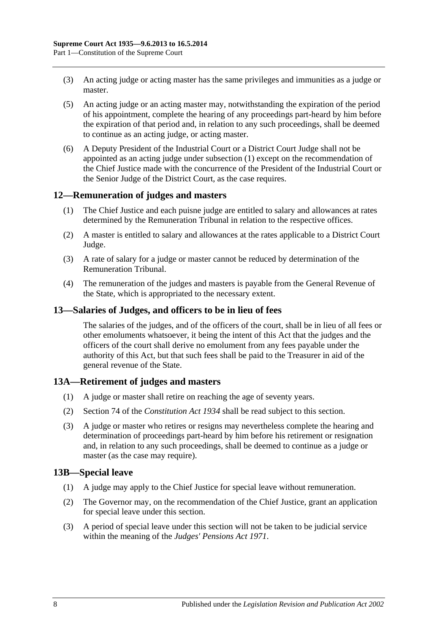- (3) An acting judge or acting master has the same privileges and immunities as a judge or master.
- (5) An acting judge or an acting master may, notwithstanding the expiration of the period of his appointment, complete the hearing of any proceedings part-heard by him before the expiration of that period and, in relation to any such proceedings, shall be deemed to continue as an acting judge, or acting master.
- <span id="page-7-4"></span>(6) A Deputy President of the Industrial Court or a District Court Judge shall not be appointed as an acting judge under [subsection](#page-6-3) (1) except on the recommendation of the Chief Justice made with the concurrence of the President of the Industrial Court or the Senior Judge of the District Court, as the case requires.

### <span id="page-7-0"></span>**12—Remuneration of judges and masters**

- (1) The Chief Justice and each puisne judge are entitled to salary and allowances at rates determined by the Remuneration Tribunal in relation to the respective offices.
- (2) A master is entitled to salary and allowances at the rates applicable to a District Court Judge.
- (3) A rate of salary for a judge or master cannot be reduced by determination of the Remuneration Tribunal.
- (4) The remuneration of the judges and masters is payable from the General Revenue of the State, which is appropriated to the necessary extent.

### <span id="page-7-1"></span>**13—Salaries of Judges, and officers to be in lieu of fees**

The salaries of the judges, and of the officers of the court, shall be in lieu of all fees or other emoluments whatsoever, it being the intent of this Act that the judges and the officers of the court shall derive no emolument from any fees payable under the authority of this Act, but that such fees shall be paid to the Treasurer in aid of the general revenue of the State.

### <span id="page-7-2"></span>**13A—Retirement of judges and masters**

- (1) A judge or master shall retire on reaching the age of seventy years.
- (2) Section 74 of the *[Constitution Act](http://www.legislation.sa.gov.au/index.aspx?action=legref&type=act&legtitle=Constitution%20Act%201934) 1934* shall be read subject to this section.
- (3) A judge or master who retires or resigns may nevertheless complete the hearing and determination of proceedings part-heard by him before his retirement or resignation and, in relation to any such proceedings, shall be deemed to continue as a judge or master (as the case may require).

### <span id="page-7-3"></span>**13B—Special leave**

- (1) A judge may apply to the Chief Justice for special leave without remuneration.
- (2) The Governor may, on the recommendation of the Chief Justice, grant an application for special leave under this section.
- (3) A period of special leave under this section will not be taken to be judicial service within the meaning of the *[Judges' Pensions Act](http://www.legislation.sa.gov.au/index.aspx?action=legref&type=act&legtitle=Judges%20Pensions%20Act%201971) 1971*.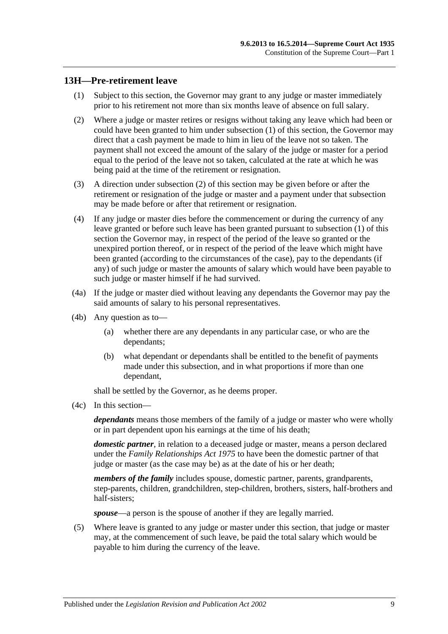### <span id="page-8-1"></span><span id="page-8-0"></span>**13H—Pre-retirement leave**

- (1) Subject to this section, the Governor may grant to any judge or master immediately prior to his retirement not more than six months leave of absence on full salary.
- <span id="page-8-2"></span>(2) Where a judge or master retires or resigns without taking any leave which had been or could have been granted to him under [subsection](#page-8-1) (1) of this section, the Governor may direct that a cash payment be made to him in lieu of the leave not so taken. The payment shall not exceed the amount of the salary of the judge or master for a period equal to the period of the leave not so taken, calculated at the rate at which he was being paid at the time of the retirement or resignation.
- (3) A direction under [subsection](#page-8-2) (2) of this section may be given before or after the retirement or resignation of the judge or master and a payment under that subsection may be made before or after that retirement or resignation.
- (4) If any judge or master dies before the commencement or during the currency of any leave granted or before such leave has been granted pursuant to [subsection](#page-8-1) (1) of this section the Governor may, in respect of the period of the leave so granted or the unexpired portion thereof, or in respect of the period of the leave which might have been granted (according to the circumstances of the case), pay to the dependants (if any) of such judge or master the amounts of salary which would have been payable to such judge or master himself if he had survived.
- (4a) If the judge or master died without leaving any dependants the Governor may pay the said amounts of salary to his personal representatives.
- (4b) Any question as to—
	- (a) whether there are any dependants in any particular case, or who are the dependants;
	- (b) what dependant or dependants shall be entitled to the benefit of payments made under this subsection, and in what proportions if more than one dependant,

shall be settled by the Governor, as he deems proper.

(4c) In this section—

*dependants* means those members of the family of a judge or master who were wholly or in part dependent upon his earnings at the time of his death;

*domestic partner*, in relation to a deceased judge or master, means a person declared under the *[Family Relationships Act](http://www.legislation.sa.gov.au/index.aspx?action=legref&type=act&legtitle=Family%20Relationships%20Act%201975) 1975* to have been the domestic partner of that judge or master (as the case may be) as at the date of his or her death;

*members of the family* includes spouse, domestic partner, parents, grandparents, step-parents, children, grandchildren, step-children, brothers, sisters, half-brothers and half-sisters;

*spouse*—a person is the spouse of another if they are legally married.

(5) Where leave is granted to any judge or master under this section, that judge or master may, at the commencement of such leave, be paid the total salary which would be payable to him during the currency of the leave.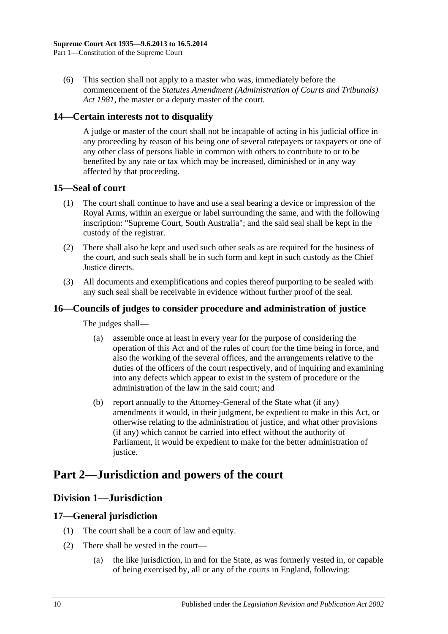(6) This section shall not apply to a master who was, immediately before the commencement of the *[Statutes Amendment \(Administration of Courts and Tribunals\)](http://www.legislation.sa.gov.au/index.aspx?action=legref&type=act&legtitle=Statutes%20Amendment%20(Administration%20of%20Courts%20and%20Tribunals)%20Act%201981)  Act [1981](http://www.legislation.sa.gov.au/index.aspx?action=legref&type=act&legtitle=Statutes%20Amendment%20(Administration%20of%20Courts%20and%20Tribunals)%20Act%201981)*, the master or a deputy master of the court.

### <span id="page-9-0"></span>**14—Certain interests not to disqualify**

A judge or master of the court shall not be incapable of acting in his judicial office in any proceeding by reason of his being one of several ratepayers or taxpayers or one of any other class of persons liable in common with others to contribute to or to be benefited by any rate or tax which may be increased, diminished or in any way affected by that proceeding.

### <span id="page-9-1"></span>**15—Seal of court**

- (1) The court shall continue to have and use a seal bearing a device or impression of the Royal Arms, within an exergue or label surrounding the same, and with the following inscription: "Supreme Court, South Australia"; and the said seal shall be kept in the custody of the registrar.
- (2) There shall also be kept and used such other seals as are required for the business of the court, and such seals shall be in such form and kept in such custody as the Chief Justice directs.
- (3) All documents and exemplifications and copies thereof purporting to be sealed with any such seal shall be receivable in evidence without further proof of the seal.

### <span id="page-9-2"></span>**16—Councils of judges to consider procedure and administration of justice**

The judges shall—

- (a) assemble once at least in every year for the purpose of considering the operation of this Act and of the rules of court for the time being in force, and also the working of the several offices, and the arrangements relative to the duties of the officers of the court respectively, and of inquiring and examining into any defects which appear to exist in the system of procedure or the administration of the law in the said court; and
- (b) report annually to the Attorney-General of the State what (if any) amendments it would, in their judgment, be expedient to make in this Act, or otherwise relating to the administration of justice, and what other provisions (if any) which cannot be carried into effect without the authority of Parliament, it would be expedient to make for the better administration of justice.

# <span id="page-9-4"></span><span id="page-9-3"></span>**Part 2—Jurisdiction and powers of the court**

### **Division 1—Jurisdiction**

### <span id="page-9-5"></span>**17—General jurisdiction**

- (1) The court shall be a court of law and equity.
- (2) There shall be vested in the court—
	- (a) the like jurisdiction, in and for the State, as was formerly vested in, or capable of being exercised by, all or any of the courts in England, following: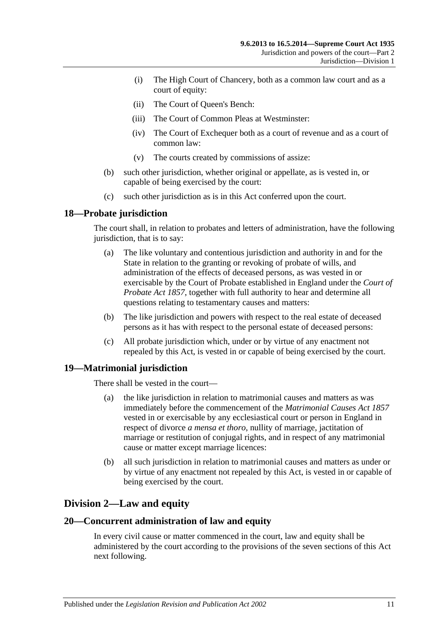- (i) The High Court of Chancery, both as a common law court and as a court of equity:
- (ii) The Court of Queen's Bench:
- (iii) The Court of Common Pleas at Westminster:
- (iv) The Court of Exchequer both as a court of revenue and as a court of common law:
- (v) The courts created by commissions of assize:
- (b) such other jurisdiction, whether original or appellate, as is vested in, or capable of being exercised by the court:
- (c) such other jurisdiction as is in this Act conferred upon the court.

### <span id="page-10-0"></span>**18—Probate jurisdiction**

The court shall, in relation to probates and letters of administration, have the following jurisdiction, that is to say:

- (a) The like voluntary and contentious jurisdiction and authority in and for the State in relation to the granting or revoking of probate of wills, and administration of the effects of deceased persons, as was vested in or exercisable by the Court of Probate established in England under the *[Court of](http://www.legislation.sa.gov.au/index.aspx?action=legref&type=act&legtitle=Court%20of%20Probate%20Act%201857)  [Probate Act](http://www.legislation.sa.gov.au/index.aspx?action=legref&type=act&legtitle=Court%20of%20Probate%20Act%201857) 1857*, together with full authority to hear and determine all questions relating to testamentary causes and matters:
- (b) The like jurisdiction and powers with respect to the real estate of deceased persons as it has with respect to the personal estate of deceased persons:
- (c) All probate jurisdiction which, under or by virtue of any enactment not repealed by this Act, is vested in or capable of being exercised by the court.

### <span id="page-10-1"></span>**19—Matrimonial jurisdiction**

There shall be vested in the court—

- (a) the like jurisdiction in relation to matrimonial causes and matters as was immediately before the commencement of the *[Matrimonial Causes Act](http://www.legislation.sa.gov.au/index.aspx?action=legref&type=act&legtitle=Matrimonial%20Causes%20Act%201857) 1857* vested in or exercisable by any ecclesiastical court or person in England in respect of divorce *a mensa et thoro*, nullity of marriage, jactitation of marriage or restitution of conjugal rights, and in respect of any matrimonial cause or matter except marriage licences:
- (b) all such jurisdiction in relation to matrimonial causes and matters as under or by virtue of any enactment not repealed by this Act, is vested in or capable of being exercised by the court.

### <span id="page-10-2"></span>**Division 2—Law and equity**

### <span id="page-10-3"></span>**20—Concurrent administration of law and equity**

In every civil cause or matter commenced in the court, law and equity shall be administered by the court according to the provisions of the seven sections of this Act next following.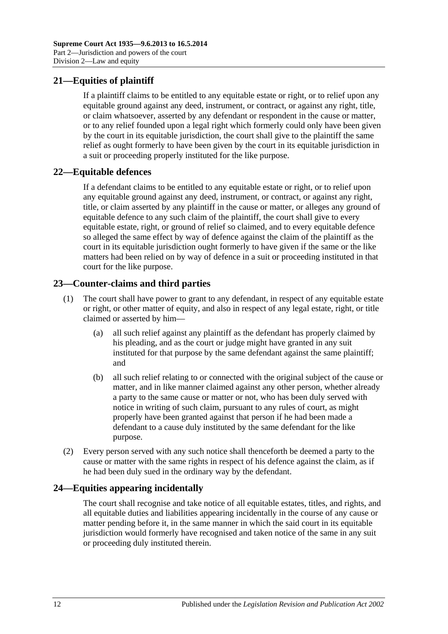## <span id="page-11-0"></span>**21—Equities of plaintiff**

If a plaintiff claims to be entitled to any equitable estate or right, or to relief upon any equitable ground against any deed, instrument, or contract, or against any right, title, or claim whatsoever, asserted by any defendant or respondent in the cause or matter, or to any relief founded upon a legal right which formerly could only have been given by the court in its equitable jurisdiction, the court shall give to the plaintiff the same relief as ought formerly to have been given by the court in its equitable jurisdiction in a suit or proceeding properly instituted for the like purpose.

### <span id="page-11-1"></span>**22—Equitable defences**

If a defendant claims to be entitled to any equitable estate or right, or to relief upon any equitable ground against any deed, instrument, or contract, or against any right, title, or claim asserted by any plaintiff in the cause or matter, or alleges any ground of equitable defence to any such claim of the plaintiff, the court shall give to every equitable estate, right, or ground of relief so claimed, and to every equitable defence so alleged the same effect by way of defence against the claim of the plaintiff as the court in its equitable jurisdiction ought formerly to have given if the same or the like matters had been relied on by way of defence in a suit or proceeding instituted in that court for the like purpose.

### <span id="page-11-2"></span>**23—Counter-claims and third parties**

- (1) The court shall have power to grant to any defendant, in respect of any equitable estate or right, or other matter of equity, and also in respect of any legal estate, right, or title claimed or asserted by him—
	- (a) all such relief against any plaintiff as the defendant has properly claimed by his pleading, and as the court or judge might have granted in any suit instituted for that purpose by the same defendant against the same plaintiff; and
	- (b) all such relief relating to or connected with the original subject of the cause or matter, and in like manner claimed against any other person, whether already a party to the same cause or matter or not, who has been duly served with notice in writing of such claim, pursuant to any rules of court, as might properly have been granted against that person if he had been made a defendant to a cause duly instituted by the same defendant for the like purpose.
- (2) Every person served with any such notice shall thenceforth be deemed a party to the cause or matter with the same rights in respect of his defence against the claim, as if he had been duly sued in the ordinary way by the defendant.

### <span id="page-11-3"></span>**24—Equities appearing incidentally**

The court shall recognise and take notice of all equitable estates, titles, and rights, and all equitable duties and liabilities appearing incidentally in the course of any cause or matter pending before it, in the same manner in which the said court in its equitable jurisdiction would formerly have recognised and taken notice of the same in any suit or proceeding duly instituted therein.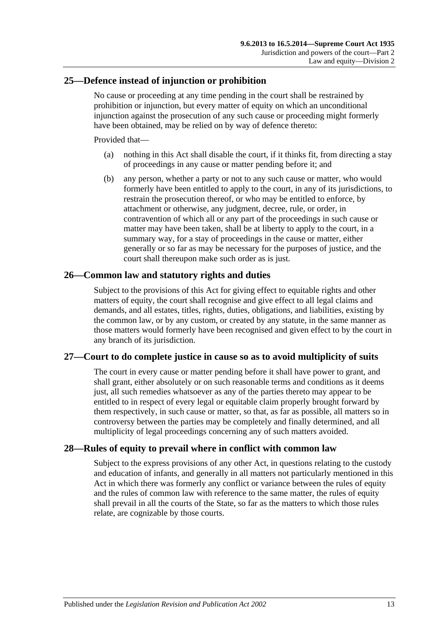### <span id="page-12-0"></span>**25—Defence instead of injunction or prohibition**

No cause or proceeding at any time pending in the court shall be restrained by prohibition or injunction, but every matter of equity on which an unconditional injunction against the prosecution of any such cause or proceeding might formerly have been obtained, may be relied on by way of defence thereto:

Provided that—

- (a) nothing in this Act shall disable the court, if it thinks fit, from directing a stay of proceedings in any cause or matter pending before it; and
- (b) any person, whether a party or not to any such cause or matter, who would formerly have been entitled to apply to the court, in any of its jurisdictions, to restrain the prosecution thereof, or who may be entitled to enforce, by attachment or otherwise, any judgment, decree, rule, or order, in contravention of which all or any part of the proceedings in such cause or matter may have been taken, shall be at liberty to apply to the court, in a summary way, for a stay of proceedings in the cause or matter, either generally or so far as may be necessary for the purposes of justice, and the court shall thereupon make such order as is just.

### <span id="page-12-1"></span>**26—Common law and statutory rights and duties**

Subject to the provisions of this Act for giving effect to equitable rights and other matters of equity, the court shall recognise and give effect to all legal claims and demands, and all estates, titles, rights, duties, obligations, and liabilities, existing by the common law, or by any custom, or created by any statute, in the same manner as those matters would formerly have been recognised and given effect to by the court in any branch of its jurisdiction.

### <span id="page-12-2"></span>**27—Court to do complete justice in cause so as to avoid multiplicity of suits**

The court in every cause or matter pending before it shall have power to grant, and shall grant, either absolutely or on such reasonable terms and conditions as it deems just, all such remedies whatsoever as any of the parties thereto may appear to be entitled to in respect of every legal or equitable claim properly brought forward by them respectively, in such cause or matter, so that, as far as possible, all matters so in controversy between the parties may be completely and finally determined, and all multiplicity of legal proceedings concerning any of such matters avoided.

### <span id="page-12-3"></span>**28—Rules of equity to prevail where in conflict with common law**

Subject to the express provisions of any other Act, in questions relating to the custody and education of infants, and generally in all matters not particularly mentioned in this Act in which there was formerly any conflict or variance between the rules of equity and the rules of common law with reference to the same matter, the rules of equity shall prevail in all the courts of the State, so far as the matters to which those rules relate, are cognizable by those courts.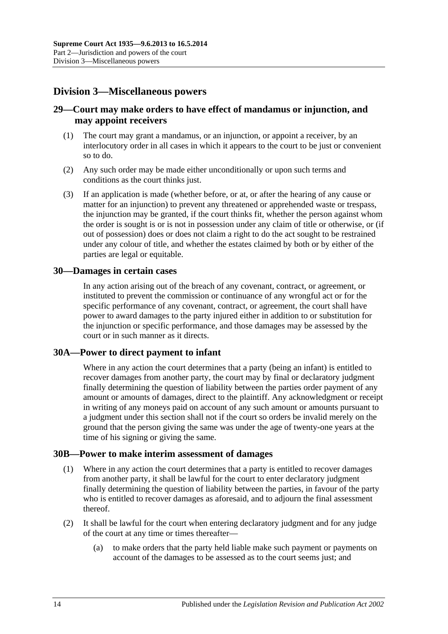# <span id="page-13-0"></span>**Division 3—Miscellaneous powers**

### <span id="page-13-1"></span>**29—Court may make orders to have effect of mandamus or injunction, and may appoint receivers**

- (1) The court may grant a mandamus, or an injunction, or appoint a receiver, by an interlocutory order in all cases in which it appears to the court to be just or convenient so to do.
- (2) Any such order may be made either unconditionally or upon such terms and conditions as the court thinks just.
- (3) If an application is made (whether before, or at, or after the hearing of any cause or matter for an injunction) to prevent any threatened or apprehended waste or trespass, the injunction may be granted, if the court thinks fit, whether the person against whom the order is sought is or is not in possession under any claim of title or otherwise, or (if out of possession) does or does not claim a right to do the act sought to be restrained under any colour of title, and whether the estates claimed by both or by either of the parties are legal or equitable.

### <span id="page-13-2"></span>**30—Damages in certain cases**

In any action arising out of the breach of any covenant, contract, or agreement, or instituted to prevent the commission or continuance of any wrongful act or for the specific performance of any covenant, contract, or agreement, the court shall have power to award damages to the party injured either in addition to or substitution for the injunction or specific performance, and those damages may be assessed by the court or in such manner as it directs.

### <span id="page-13-3"></span>**30A—Power to direct payment to infant**

Where in any action the court determines that a party (being an infant) is entitled to recover damages from another party, the court may by final or declaratory judgment finally determining the question of liability between the parties order payment of any amount or amounts of damages, direct to the plaintiff. Any acknowledgment or receipt in writing of any moneys paid on account of any such amount or amounts pursuant to a judgment under this section shall not if the court so orders be invalid merely on the ground that the person giving the same was under the age of twenty-one years at the time of his signing or giving the same.

### <span id="page-13-4"></span>**30B—Power to make interim assessment of damages**

- (1) Where in any action the court determines that a party is entitled to recover damages from another party, it shall be lawful for the court to enter declaratory judgment finally determining the question of liability between the parties, in favour of the party who is entitled to recover damages as aforesaid, and to adjourn the final assessment thereof.
- <span id="page-13-5"></span>(2) It shall be lawful for the court when entering declaratory judgment and for any judge of the court at any time or times thereafter—
	- (a) to make orders that the party held liable make such payment or payments on account of the damages to be assessed as to the court seems just; and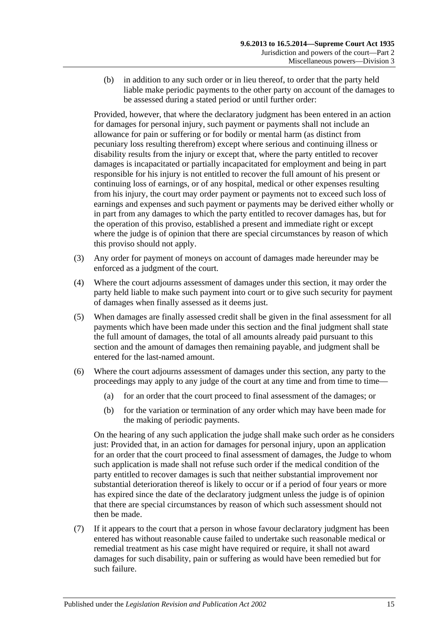(b) in addition to any such order or in lieu thereof, to order that the party held liable make periodic payments to the other party on account of the damages to be assessed during a stated period or until further order:

Provided, however, that where the declaratory judgment has been entered in an action for damages for personal injury, such payment or payments shall not include an allowance for pain or suffering or for bodily or mental harm (as distinct from pecuniary loss resulting therefrom) except where serious and continuing illness or disability results from the injury or except that, where the party entitled to recover damages is incapacitated or partially incapacitated for employment and being in part responsible for his injury is not entitled to recover the full amount of his present or continuing loss of earnings, or of any hospital, medical or other expenses resulting from his injury, the court may order payment or payments not to exceed such loss of earnings and expenses and such payment or payments may be derived either wholly or in part from any damages to which the party entitled to recover damages has, but for the operation of this proviso, established a present and immediate right or except where the judge is of opinion that there are special circumstances by reason of which this proviso should not apply.

- (3) Any order for payment of moneys on account of damages made hereunder may be enforced as a judgment of the court.
- (4) Where the court adjourns assessment of damages under this section, it may order the party held liable to make such payment into court or to give such security for payment of damages when finally assessed as it deems just.
- (5) When damages are finally assessed credit shall be given in the final assessment for all payments which have been made under this section and the final judgment shall state the full amount of damages, the total of all amounts already paid pursuant to this section and the amount of damages then remaining payable, and judgment shall be entered for the last-named amount.
- (6) Where the court adjourns assessment of damages under this section, any party to the proceedings may apply to any judge of the court at any time and from time to time—
	- (a) for an order that the court proceed to final assessment of the damages; or
	- (b) for the variation or termination of any order which may have been made for the making of periodic payments.

On the hearing of any such application the judge shall make such order as he considers just: Provided that, in an action for damages for personal injury, upon an application for an order that the court proceed to final assessment of damages, the Judge to whom such application is made shall not refuse such order if the medical condition of the party entitled to recover damages is such that neither substantial improvement nor substantial deterioration thereof is likely to occur or if a period of four years or more has expired since the date of the declaratory judgment unless the judge is of opinion that there are special circumstances by reason of which such assessment should not then be made.

(7) If it appears to the court that a person in whose favour declaratory judgment has been entered has without reasonable cause failed to undertake such reasonable medical or remedial treatment as his case might have required or require, it shall not award damages for such disability, pain or suffering as would have been remedied but for such failure.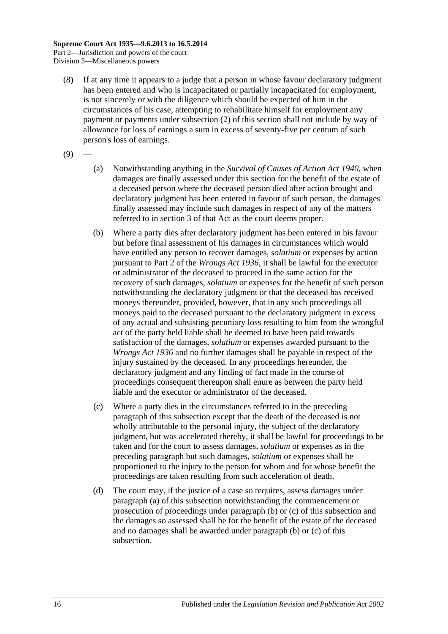- (8) If at any time it appears to a judge that a person in whose favour declaratory judgment has been entered and who is incapacitated or partially incapacitated for employment, is not sincerely or with the diligence which should be expected of him in the circumstances of his case, attempting to rehabilitate himself for employment any payment or payments under [subsection](#page-13-5) (2) of this section shall not include by way of allowance for loss of earnings a sum in excess of seventy-five per centum of such person's loss of earnings.
- <span id="page-15-0"></span> $(9)$
- (a) Notwithstanding anything in the *[Survival of Causes of Action Act](http://www.legislation.sa.gov.au/index.aspx?action=legref&type=act&legtitle=Survival%20of%20Causes%20of%20Action%20Act%201940) 1940*, when damages are finally assessed under this section for the benefit of the estate of a deceased person where the deceased person died after action brought and declaratory judgment has been entered in favour of such person, the damages finally assessed may include such damages in respect of any of the matters referred to in section 3 of that Act as the court deems proper.
- <span id="page-15-1"></span>(b) Where a party dies after declaratory judgment has been entered in his favour but before final assessment of his damages in circumstances which would have entitled any person to recover damages, *solatium* or expenses by action pursuant to Part 2 of the *[Wrongs Act](http://www.legislation.sa.gov.au/index.aspx?action=legref&type=act&legtitle=Wrongs%20Act%201936) 1936*, it shall be lawful for the executor or administrator of the deceased to proceed in the same action for the recovery of such damages, *solatium* or expenses for the benefit of such person notwithstanding the declaratory judgment or that the deceased has received moneys thereunder, provided, however, that in any such proceedings all moneys paid to the deceased pursuant to the declaratory judgment in excess of any actual and subsisting pecuniary loss resulting to him from the wrongful act of the party held liable shall be deemed to have been paid towards satisfaction of the damages, *solatium* or expenses awarded pursuant to the *[Wrongs Act](http://www.legislation.sa.gov.au/index.aspx?action=legref&type=act&legtitle=Wrongs%20Act%201936) 1936* and no further damages shall be payable in respect of the injury sustained by the deceased. In any proceedings hereunder, the declaratory judgment and any finding of fact made in the course of proceedings consequent thereupon shall enure as between the party held liable and the executor or administrator of the deceased.
- <span id="page-15-2"></span>(c) Where a party dies in the circumstances referred to in the preceding paragraph of this subsection except that the death of the deceased is not wholly attributable to the personal injury, the subject of the declaratory judgment, but was accelerated thereby, it shall be lawful for proceedings to be taken and for the court to assess damages, *solatium* or expenses as in the preceding paragraph but such damages, *solatium* or expenses shall be proportioned to the injury to the person for whom and for whose benefit the proceedings are taken resulting from such acceleration of death.
- (d) The court may, if the justice of a case so requires, assess damages under [paragraph](#page-15-0) (a) of this subsection notwithstanding the commencement or prosecution of proceedings under [paragraph](#page-15-1) (b) or [\(c\)](#page-15-2) of this subsection and the damages so assessed shall be for the benefit of the estate of the deceased and no damages shall be awarded under [paragraph](#page-15-1) (b) or [\(c\)](#page-15-2) of this subsection.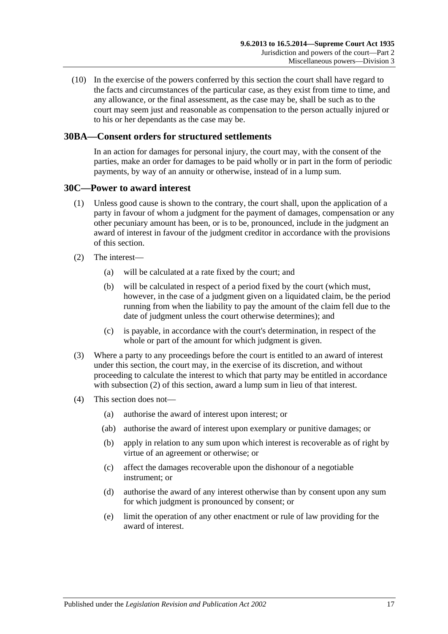(10) In the exercise of the powers conferred by this section the court shall have regard to the facts and circumstances of the particular case, as they exist from time to time, and any allowance, or the final assessment, as the case may be, shall be such as to the court may seem just and reasonable as compensation to the person actually injured or to his or her dependants as the case may be.

### <span id="page-16-0"></span>**30BA—Consent orders for structured settlements**

In an action for damages for personal injury, the court may, with the consent of the parties, make an order for damages to be paid wholly or in part in the form of periodic payments, by way of an annuity or otherwise, instead of in a lump sum.

### <span id="page-16-1"></span>**30C—Power to award interest**

- (1) Unless good cause is shown to the contrary, the court shall, upon the application of a party in favour of whom a judgment for the payment of damages, compensation or any other pecuniary amount has been, or is to be, pronounced, include in the judgment an award of interest in favour of the judgment creditor in accordance with the provisions of this section.
- <span id="page-16-2"></span>(2) The interest—
	- (a) will be calculated at a rate fixed by the court; and
	- (b) will be calculated in respect of a period fixed by the court (which must, however, in the case of a judgment given on a liquidated claim, be the period running from when the liability to pay the amount of the claim fell due to the date of judgment unless the court otherwise determines); and
	- (c) is payable, in accordance with the court's determination, in respect of the whole or part of the amount for which judgment is given.
- (3) Where a party to any proceedings before the court is entitled to an award of interest under this section, the court may, in the exercise of its discretion, and without proceeding to calculate the interest to which that party may be entitled in accordance with [subsection](#page-16-2) (2) of this section, award a lump sum in lieu of that interest.
- (4) This section does not—
	- (a) authorise the award of interest upon interest; or
	- (ab) authorise the award of interest upon exemplary or punitive damages; or
	- (b) apply in relation to any sum upon which interest is recoverable as of right by virtue of an agreement or otherwise; or
	- (c) affect the damages recoverable upon the dishonour of a negotiable instrument; or
	- (d) authorise the award of any interest otherwise than by consent upon any sum for which judgment is pronounced by consent; or
	- (e) limit the operation of any other enactment or rule of law providing for the award of interest.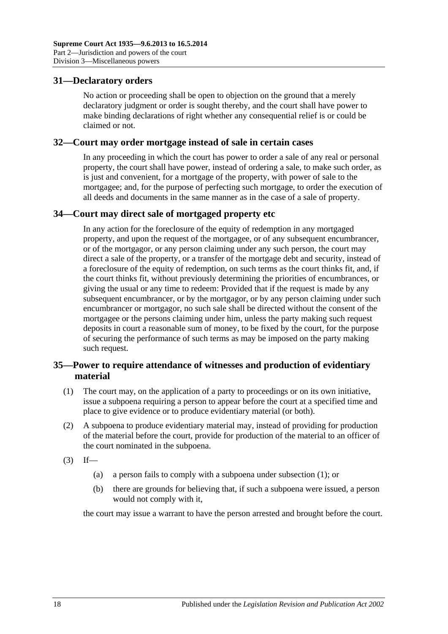### <span id="page-17-0"></span>**31—Declaratory orders**

No action or proceeding shall be open to objection on the ground that a merely declaratory judgment or order is sought thereby, and the court shall have power to make binding declarations of right whether any consequential relief is or could be claimed or not.

### <span id="page-17-1"></span>**32—Court may order mortgage instead of sale in certain cases**

In any proceeding in which the court has power to order a sale of any real or personal property, the court shall have power, instead of ordering a sale, to make such order, as is just and convenient, for a mortgage of the property, with power of sale to the mortgagee; and, for the purpose of perfecting such mortgage, to order the execution of all deeds and documents in the same manner as in the case of a sale of property.

### <span id="page-17-2"></span>**34—Court may direct sale of mortgaged property etc**

In any action for the foreclosure of the equity of redemption in any mortgaged property, and upon the request of the mortgagee, or of any subsequent encumbrancer, or of the mortgagor, or any person claiming under any such person, the court may direct a sale of the property, or a transfer of the mortgage debt and security, instead of a foreclosure of the equity of redemption, on such terms as the court thinks fit, and, if the court thinks fit, without previously determining the priorities of encumbrances, or giving the usual or any time to redeem: Provided that if the request is made by any subsequent encumbrancer, or by the mortgagor, or by any person claiming under such encumbrancer or mortgagor, no such sale shall be directed without the consent of the mortgagee or the persons claiming under him, unless the party making such request deposits in court a reasonable sum of money, to be fixed by the court, for the purpose of securing the performance of such terms as may be imposed on the party making such request.

### <span id="page-17-3"></span>**35—Power to require attendance of witnesses and production of evidentiary material**

- <span id="page-17-4"></span>(1) The court may, on the application of a party to proceedings or on its own initiative, issue a subpoena requiring a person to appear before the court at a specified time and place to give evidence or to produce evidentiary material (or both).
- (2) A subpoena to produce evidentiary material may, instead of providing for production of the material before the court, provide for production of the material to an officer of the court nominated in the subpoena.
- $(3)$  If—
	- (a) a person fails to comply with a subpoena under [subsection](#page-17-4) (1); or
	- (b) there are grounds for believing that, if such a subpoena were issued, a person would not comply with it,

the court may issue a warrant to have the person arrested and brought before the court.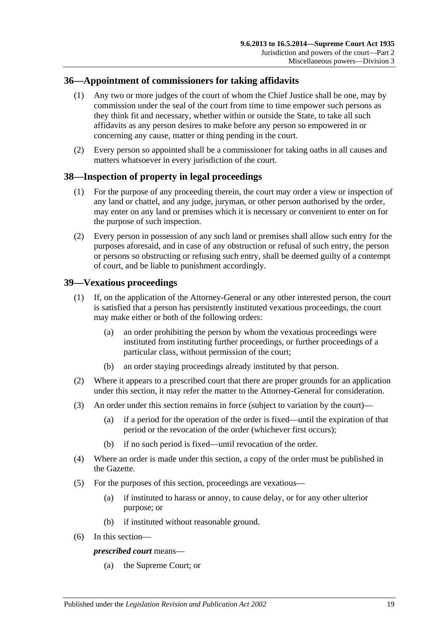### <span id="page-18-0"></span>**36—Appointment of commissioners for taking affidavits**

- (1) Any two or more judges of the court of whom the Chief Justice shall be one, may by commission under the seal of the court from time to time empower such persons as they think fit and necessary, whether within or outside the State, to take all such affidavits as any person desires to make before any person so empowered in or concerning any cause, matter or thing pending in the court.
- (2) Every person so appointed shall be a commissioner for taking oaths in all causes and matters whatsoever in every jurisdiction of the court.

### <span id="page-18-1"></span>**38—Inspection of property in legal proceedings**

- (1) For the purpose of any proceeding therein, the court may order a view or inspection of any land or chattel, and any judge, juryman, or other person authorised by the order, may enter on any land or premises which it is necessary or convenient to enter on for the purpose of such inspection.
- (2) Every person in possession of any such land or premises shall allow such entry for the purposes aforesaid, and in case of any obstruction or refusal of such entry, the person or persons so obstructing or refusing such entry, shall be deemed guilty of a contempt of court, and be liable to punishment accordingly.

### <span id="page-18-2"></span>**39—Vexatious proceedings**

- (1) If, on the application of the Attorney-General or any other interested person, the court is satisfied that a person has persistently instituted vexatious proceedings, the court may make either or both of the following orders:
	- (a) an order prohibiting the person by whom the vexatious proceedings were instituted from instituting further proceedings, or further proceedings of a particular class, without permission of the court;
	- (b) an order staying proceedings already instituted by that person.
- (2) Where it appears to a prescribed court that there are proper grounds for an application under this section, it may refer the matter to the Attorney-General for consideration.
- (3) An order under this section remains in force (subject to variation by the court)—
	- (a) if a period for the operation of the order is fixed—until the expiration of that period or the revocation of the order (whichever first occurs);
	- (b) if no such period is fixed—until revocation of the order.
- (4) Where an order is made under this section, a copy of the order must be published in the Gazette.
- (5) For the purposes of this section, proceedings are vexatious—
	- (a) if instituted to harass or annoy, to cause delay, or for any other ulterior purpose; or
	- (b) if instituted without reasonable ground.
- (6) In this section—

### *prescribed court* means—

(a) the Supreme Court; or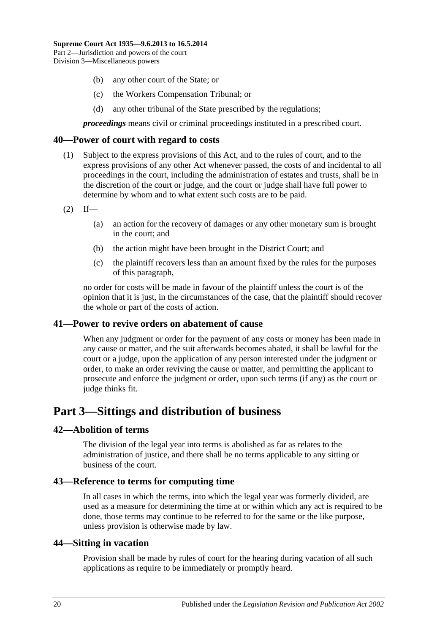- (b) any other court of the State; or
- (c) the Workers Compensation Tribunal; or
- (d) any other tribunal of the State prescribed by the regulations;

*proceedings* means civil or criminal proceedings instituted in a prescribed court.

### <span id="page-19-0"></span>**40—Power of court with regard to costs**

- (1) Subject to the express provisions of this Act, and to the rules of court, and to the express provisions of any other Act whenever passed, the costs of and incidental to all proceedings in the court, including the administration of estates and trusts, shall be in the discretion of the court or judge, and the court or judge shall have full power to determine by whom and to what extent such costs are to be paid.
- $(2)$  If—
	- (a) an action for the recovery of damages or any other monetary sum is brought in the court; and
	- (b) the action might have been brought in the District Court; and
	- (c) the plaintiff recovers less than an amount fixed by the rules for the purposes of this paragraph,

no order for costs will be made in favour of the plaintiff unless the court is of the opinion that it is just, in the circumstances of the case, that the plaintiff should recover the whole or part of the costs of action.

### <span id="page-19-1"></span>**41—Power to revive orders on abatement of cause**

When any judgment or order for the payment of any costs or money has been made in any cause or matter, and the suit afterwards becomes abated, it shall be lawful for the court or a judge, upon the application of any person interested under the judgment or order, to make an order reviving the cause or matter, and permitting the applicant to prosecute and enforce the judgment or order, upon such terms (if any) as the court or judge thinks fit.

# <span id="page-19-2"></span>**Part 3—Sittings and distribution of business**

### <span id="page-19-3"></span>**42—Abolition of terms**

The division of the legal year into terms is abolished as far as relates to the administration of justice, and there shall be no terms applicable to any sitting or business of the court.

### <span id="page-19-4"></span>**43—Reference to terms for computing time**

In all cases in which the terms, into which the legal year was formerly divided, are used as a measure for determining the time at or within which any act is required to be done, those terms may continue to be referred to for the same or the like purpose, unless provision is otherwise made by law.

### <span id="page-19-5"></span>**44—Sitting in vacation**

Provision shall be made by rules of court for the hearing during vacation of all such applications as require to be immediately or promptly heard.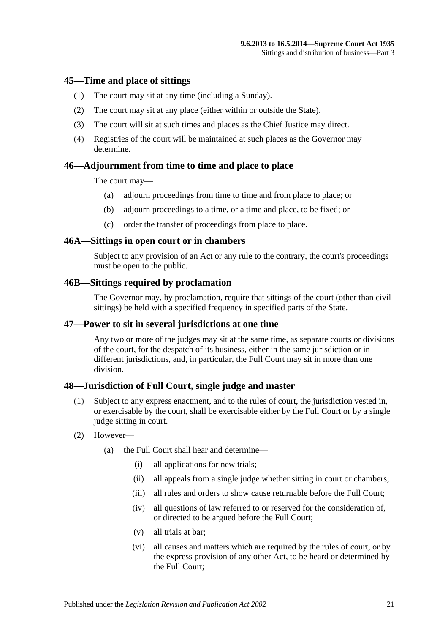### <span id="page-20-0"></span>**45—Time and place of sittings**

- (1) The court may sit at any time (including a Sunday).
- (2) The court may sit at any place (either within or outside the State).
- (3) The court will sit at such times and places as the Chief Justice may direct.
- (4) Registries of the court will be maintained at such places as the Governor may determine.

### <span id="page-20-1"></span>**46—Adjournment from time to time and place to place**

The court may—

- (a) adjourn proceedings from time to time and from place to place; or
- (b) adjourn proceedings to a time, or a time and place, to be fixed; or
- (c) order the transfer of proceedings from place to place.

#### <span id="page-20-2"></span>**46A—Sittings in open court or in chambers**

Subject to any provision of an Act or any rule to the contrary, the court's proceedings must be open to the public.

#### <span id="page-20-3"></span>**46B—Sittings required by proclamation**

The Governor may, by proclamation, require that sittings of the court (other than civil sittings) be held with a specified frequency in specified parts of the State.

### <span id="page-20-4"></span>**47—Power to sit in several jurisdictions at one time**

Any two or more of the judges may sit at the same time, as separate courts or divisions of the court, for the despatch of its business, either in the same jurisdiction or in different jurisdictions, and, in particular, the Full Court may sit in more than one division.

### <span id="page-20-5"></span>**48—Jurisdiction of Full Court, single judge and master**

- (1) Subject to any express enactment, and to the rules of court, the jurisdiction vested in, or exercisable by the court, shall be exercisable either by the Full Court or by a single judge sitting in court.
- (2) However—
	- (a) the Full Court shall hear and determine—
		- (i) all applications for new trials;
		- (ii) all appeals from a single judge whether sitting in court or chambers;
		- (iii) all rules and orders to show cause returnable before the Full Court:
		- (iv) all questions of law referred to or reserved for the consideration of, or directed to be argued before the Full Court;
		- (v) all trials at bar;
		- (vi) all causes and matters which are required by the rules of court, or by the express provision of any other Act, to be heard or determined by the Full Court;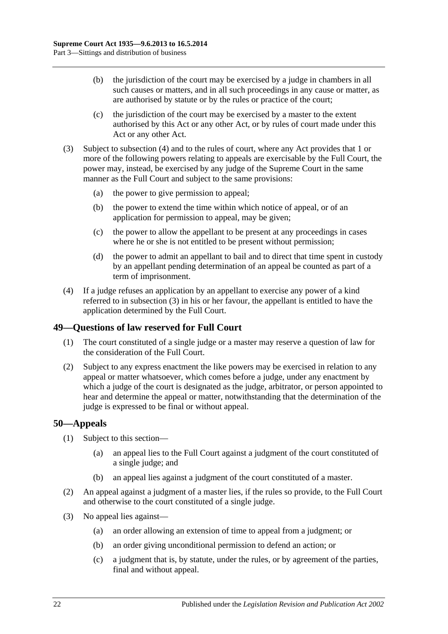- (b) the jurisdiction of the court may be exercised by a judge in chambers in all such causes or matters, and in all such proceedings in any cause or matter, as are authorised by statute or by the rules or practice of the court;
- (c) the jurisdiction of the court may be exercised by a master to the extent authorised by this Act or any other Act, or by rules of court made under this Act or any other Act.
- <span id="page-21-3"></span>(3) Subject to [subsection](#page-21-2) (4) and to the rules of court, where any Act provides that 1 or more of the following powers relating to appeals are exercisable by the Full Court, the power may, instead, be exercised by any judge of the Supreme Court in the same manner as the Full Court and subject to the same provisions:
	- (a) the power to give permission to appeal;
	- (b) the power to extend the time within which notice of appeal, or of an application for permission to appeal, may be given;
	- (c) the power to allow the appellant to be present at any proceedings in cases where he or she is not entitled to be present without permission;
	- (d) the power to admit an appellant to bail and to direct that time spent in custody by an appellant pending determination of an appeal be counted as part of a term of imprisonment.
- <span id="page-21-2"></span>(4) If a judge refuses an application by an appellant to exercise any power of a kind referred to in [subsection](#page-21-3) (3) in his or her favour, the appellant is entitled to have the application determined by the Full Court.

### <span id="page-21-0"></span>**49—Questions of law reserved for Full Court**

- (1) The court constituted of a single judge or a master may reserve a question of law for the consideration of the Full Court.
- (2) Subject to any express enactment the like powers may be exercised in relation to any appeal or matter whatsoever, which comes before a judge, under any enactment by which a judge of the court is designated as the judge, arbitrator, or person appointed to hear and determine the appeal or matter, notwithstanding that the determination of the judge is expressed to be final or without appeal.

### <span id="page-21-1"></span>**50—Appeals**

- (1) Subject to this section—
	- (a) an appeal lies to the Full Court against a judgment of the court constituted of a single judge; and
	- (b) an appeal lies against a judgment of the court constituted of a master.
- (2) An appeal against a judgment of a master lies, if the rules so provide, to the Full Court and otherwise to the court constituted of a single judge.
- (3) No appeal lies against—
	- (a) an order allowing an extension of time to appeal from a judgment; or
	- (b) an order giving unconditional permission to defend an action; or
	- (c) a judgment that is, by statute, under the rules, or by agreement of the parties, final and without appeal.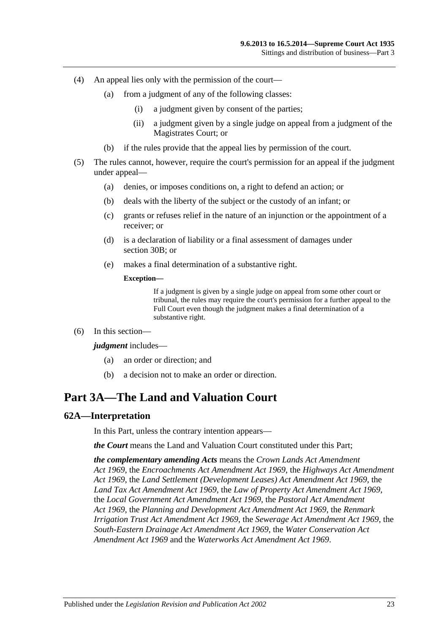- (4) An appeal lies only with the permission of the court—
	- (a) from a judgment of any of the following classes:
		- (i) a judgment given by consent of the parties;
		- (ii) a judgment given by a single judge on appeal from a judgment of the Magistrates Court; or
	- (b) if the rules provide that the appeal lies by permission of the court.
- (5) The rules cannot, however, require the court's permission for an appeal if the judgment under appeal—
	- (a) denies, or imposes conditions on, a right to defend an action; or
	- (b) deals with the liberty of the subject or the custody of an infant; or
	- (c) grants or refuses relief in the nature of an injunction or the appointment of a receiver; or
	- (d) is a declaration of liability or a final assessment of damages under [section](#page-13-4) 30B; or
	- (e) makes a final determination of a substantive right.

#### **Exception—**

If a judgment is given by a single judge on appeal from some other court or tribunal, the rules may require the court's permission for a further appeal to the Full Court even though the judgment makes a final determination of a substantive right.

(6) In this section—

#### *judgment* includes—

- (a) an order or direction; and
- (b) a decision not to make an order or direction.

# <span id="page-22-0"></span>**Part 3A—The Land and Valuation Court**

### <span id="page-22-1"></span>**62A—Interpretation**

In this Part, unless the contrary intention appears—

*the Court* means the Land and Valuation Court constituted under this Part;

*the complementary amending Acts* means the *[Crown Lands Act Amendment](http://www.legislation.sa.gov.au/index.aspx?action=legref&type=act&legtitle=Crown%20Lands%20Act%20Amendment%20Act%201969)  Act [1969](http://www.legislation.sa.gov.au/index.aspx?action=legref&type=act&legtitle=Crown%20Lands%20Act%20Amendment%20Act%201969)*, the *[Encroachments Act Amendment Act](http://www.legislation.sa.gov.au/index.aspx?action=legref&type=act&legtitle=Encroachments%20Act%20Amendment%20Act%201969) 1969*, the *[Highways Act Amendment](http://www.legislation.sa.gov.au/index.aspx?action=legref&type=act&legtitle=Highways%20Act%20Amendment%20Act%201969)  Act [1969](http://www.legislation.sa.gov.au/index.aspx?action=legref&type=act&legtitle=Highways%20Act%20Amendment%20Act%201969)*, the *[Land Settlement \(Development Leases\) Act Amendment Act](http://www.legislation.sa.gov.au/index.aspx?action=legref&type=act&legtitle=Land%20Settlement%20(Development%20Leases)%20Act%20Amendment%20Act%201969) 1969*, the *[Land Tax Act Amendment Act](http://www.legislation.sa.gov.au/index.aspx?action=legref&type=act&legtitle=Land%20Tax%20Act%20Amendment%20Act%201969) 1969*, the *[Law of Property Act Amendment Act](http://www.legislation.sa.gov.au/index.aspx?action=legref&type=act&legtitle=Law%20of%20Property%20Act%20Amendment%20Act%201969) 1969*, the *[Local Government Act Amendment Act](http://www.legislation.sa.gov.au/index.aspx?action=legref&type=act&legtitle=Local%20Government%20Act%20Amendment%20Act%201969) 1969*, the *[Pastoral Act Amendment](http://www.legislation.sa.gov.au/index.aspx?action=legref&type=act&legtitle=Pastoral%20Act%20Amendment%20Act%201969)  Act [1969](http://www.legislation.sa.gov.au/index.aspx?action=legref&type=act&legtitle=Pastoral%20Act%20Amendment%20Act%201969)*, the *[Planning and Development Act Amendment Act](http://www.legislation.sa.gov.au/index.aspx?action=legref&type=act&legtitle=Planning%20and%20Development%20Act%20Amendment%20Act%201969) 1969*, the *[Renmark](http://www.legislation.sa.gov.au/index.aspx?action=legref&type=act&legtitle=Renmark%20Irrigation%20Trust%20Act%20Amendment%20Act%201969)  [Irrigation Trust Act Amendment Act](http://www.legislation.sa.gov.au/index.aspx?action=legref&type=act&legtitle=Renmark%20Irrigation%20Trust%20Act%20Amendment%20Act%201969) 1969*, the *[Sewerage Act Amendment Act](http://www.legislation.sa.gov.au/index.aspx?action=legref&type=act&legtitle=Sewerage%20Act%20Amendment%20Act%201969) 1969*, the *[South-Eastern Drainage Act Amendment Act](http://www.legislation.sa.gov.au/index.aspx?action=legref&type=act&legtitle=South-Eastern%20Drainage%20Act%20Amendment%20Act%201969) 1969*, the *[Water Conservation Act](http://www.legislation.sa.gov.au/index.aspx?action=legref&type=act&legtitle=Water%20Conservation%20Act%20Amendment%20Act%201969)  [Amendment Act](http://www.legislation.sa.gov.au/index.aspx?action=legref&type=act&legtitle=Water%20Conservation%20Act%20Amendment%20Act%201969) 1969* and the *[Waterworks Act Amendment Act](http://www.legislation.sa.gov.au/index.aspx?action=legref&type=act&legtitle=Waterworks%20Act%20Amendment%20Act%201969) 1969*.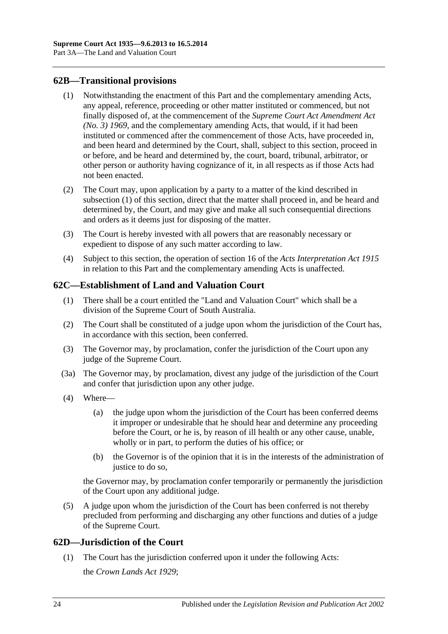### <span id="page-23-3"></span><span id="page-23-0"></span>**62B—Transitional provisions**

- (1) Notwithstanding the enactment of this Part and the complementary amending Acts, any appeal, reference, proceeding or other matter instituted or commenced, but not finally disposed of, at the commencement of the *[Supreme Court Act Amendment Act](http://www.legislation.sa.gov.au/index.aspx?action=legref&type=act&legtitle=Supreme%20Court%20Act%20Amendment%20Act%20(No.%203)%201969)  [\(No. 3\)](http://www.legislation.sa.gov.au/index.aspx?action=legref&type=act&legtitle=Supreme%20Court%20Act%20Amendment%20Act%20(No.%203)%201969) 1969*, and the complementary amending Acts, that would, if it had been instituted or commenced after the commencement of those Acts, have proceeded in, and been heard and determined by the Court, shall, subject to this section, proceed in or before, and be heard and determined by, the court, board, tribunal, arbitrator, or other person or authority having cognizance of it, in all respects as if those Acts had not been enacted.
- (2) The Court may, upon application by a party to a matter of the kind described in [subsection](#page-23-3) (1) of this section, direct that the matter shall proceed in, and be heard and determined by, the Court, and may give and make all such consequential directions and orders as it deems just for disposing of the matter.
- (3) The Court is hereby invested with all powers that are reasonably necessary or expedient to dispose of any such matter according to law.
- (4) Subject to this section, the operation of section 16 of the *[Acts Interpretation Act](http://www.legislation.sa.gov.au/index.aspx?action=legref&type=act&legtitle=Acts%20Interpretation%20Act%201915) 1915* in relation to this Part and the complementary amending Acts is unaffected.

### <span id="page-23-1"></span>**62C—Establishment of Land and Valuation Court**

- (1) There shall be a court entitled the "Land and Valuation Court" which shall be a division of the Supreme Court of South Australia.
- (2) The Court shall be constituted of a judge upon whom the jurisdiction of the Court has, in accordance with this section, been conferred.
- (3) The Governor may, by proclamation, confer the jurisdiction of the Court upon any judge of the Supreme Court.
- (3a) The Governor may, by proclamation, divest any judge of the jurisdiction of the Court and confer that jurisdiction upon any other judge.
- (4) Where—
	- (a) the judge upon whom the jurisdiction of the Court has been conferred deems it improper or undesirable that he should hear and determine any proceeding before the Court, or he is, by reason of ill health or any other cause, unable, wholly or in part, to perform the duties of his office; or
	- (b) the Governor is of the opinion that it is in the interests of the administration of justice to do so.

the Governor may, by proclamation confer temporarily or permanently the jurisdiction of the Court upon any additional judge.

(5) A judge upon whom the jurisdiction of the Court has been conferred is not thereby precluded from performing and discharging any other functions and duties of a judge of the Supreme Court.

### <span id="page-23-2"></span>**62D—Jurisdiction of the Court**

(1) The Court has the jurisdiction conferred upon it under the following Acts: the *[Crown Lands Act](http://www.legislation.sa.gov.au/index.aspx?action=legref&type=act&legtitle=Crown%20Lands%20Act%201929) 1929*;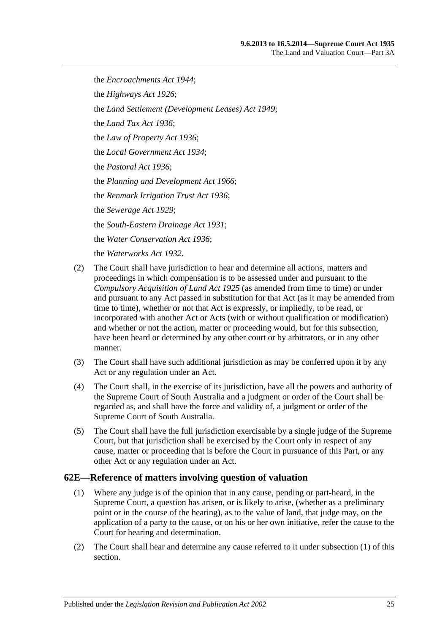the *[Encroachments Act](http://www.legislation.sa.gov.au/index.aspx?action=legref&type=act&legtitle=Encroachments%20Act%201944) 1944*; the *[Highways Act](http://www.legislation.sa.gov.au/index.aspx?action=legref&type=act&legtitle=Highways%20Act%201926) 1926*; the *[Land Settlement \(Development Leases\) Act](http://www.legislation.sa.gov.au/index.aspx?action=legref&type=act&legtitle=Land%20Settlement%20(Development%20Leases)%20Act%201949) 1949*; the *[Land Tax Act](http://www.legislation.sa.gov.au/index.aspx?action=legref&type=act&legtitle=Land%20Tax%20Act%201936) 1936*; the *[Law of Property Act](http://www.legislation.sa.gov.au/index.aspx?action=legref&type=act&legtitle=Law%20of%20Property%20Act%201936) 1936*; the *[Local Government Act](http://www.legislation.sa.gov.au/index.aspx?action=legref&type=act&legtitle=Local%20Government%20Act%201934) 1934*; the *[Pastoral Act](http://www.legislation.sa.gov.au/index.aspx?action=legref&type=act&legtitle=Pastoral%20Act%201936) 1936*; the *[Planning and Development Act](http://www.legislation.sa.gov.au/index.aspx?action=legref&type=act&legtitle=Planning%20and%20Development%20Act%201966) 1966*; the *[Renmark Irrigation Trust Act](http://www.legislation.sa.gov.au/index.aspx?action=legref&type=act&legtitle=Renmark%20Irrigation%20Trust%20Act%201936) 1936*; the *[Sewerage Act](http://www.legislation.sa.gov.au/index.aspx?action=legref&type=act&legtitle=Sewerage%20Act%201929) 1929*; the *[South-Eastern Drainage Act](http://www.legislation.sa.gov.au/index.aspx?action=legref&type=act&legtitle=South-Eastern%20Drainage%20Act%201931) 1931*; the *[Water Conservation Act](http://www.legislation.sa.gov.au/index.aspx?action=legref&type=act&legtitle=Water%20Conservation%20Act%201936) 1936*; the *[Waterworks Act](http://www.legislation.sa.gov.au/index.aspx?action=legref&type=act&legtitle=Waterworks%20Act%201932) 1932*.

- (2) The Court shall have jurisdiction to hear and determine all actions, matters and proceedings in which compensation is to be assessed under and pursuant to the *[Compulsory Acquisition of Land Act](http://www.legislation.sa.gov.au/index.aspx?action=legref&type=act&legtitle=Compulsory%20Acquisition%20of%20Land%20Act%201925) 1925* (as amended from time to time) or under and pursuant to any Act passed in substitution for that Act (as it may be amended from time to time), whether or not that Act is expressly, or impliedly, to be read, or incorporated with another Act or Acts (with or without qualification or modification) and whether or not the action, matter or proceeding would, but for this subsection, have been heard or determined by any other court or by arbitrators, or in any other manner.
- (3) The Court shall have such additional jurisdiction as may be conferred upon it by any Act or any regulation under an Act.
- (4) The Court shall, in the exercise of its jurisdiction, have all the powers and authority of the Supreme Court of South Australia and a judgment or order of the Court shall be regarded as, and shall have the force and validity of, a judgment or order of the Supreme Court of South Australia.
- (5) The Court shall have the full jurisdiction exercisable by a single judge of the Supreme Court, but that jurisdiction shall be exercised by the Court only in respect of any cause, matter or proceeding that is before the Court in pursuance of this Part, or any other Act or any regulation under an Act.

### <span id="page-24-1"></span><span id="page-24-0"></span>**62E—Reference of matters involving question of valuation**

- (1) Where any judge is of the opinion that in any cause, pending or part-heard, in the Supreme Court, a question has arisen, or is likely to arise, (whether as a preliminary point or in the course of the hearing), as to the value of land, that judge may, on the application of a party to the cause, or on his or her own initiative, refer the cause to the Court for hearing and determination.
- (2) The Court shall hear and determine any cause referred to it under [subsection](#page-24-1) (1) of this section.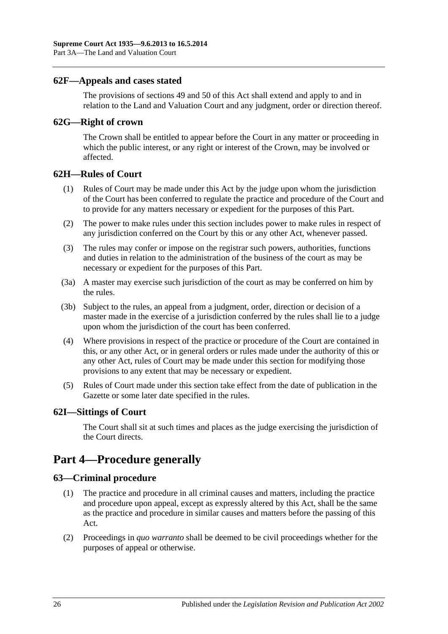### <span id="page-25-0"></span>**62F—Appeals and cases stated**

The provisions of [sections](#page-21-0) 49 and [50](#page-21-1) of this Act shall extend and apply to and in relation to the Land and Valuation Court and any judgment, order or direction thereof.

### <span id="page-25-1"></span>**62G—Right of crown**

The Crown shall be entitled to appear before the Court in any matter or proceeding in which the public interest, or any right or interest of the Crown, may be involved or affected.

### <span id="page-25-2"></span>**62H—Rules of Court**

- (1) Rules of Court may be made under this Act by the judge upon whom the jurisdiction of the Court has been conferred to regulate the practice and procedure of the Court and to provide for any matters necessary or expedient for the purposes of this Part.
- (2) The power to make rules under this section includes power to make rules in respect of any jurisdiction conferred on the Court by this or any other Act, whenever passed.
- (3) The rules may confer or impose on the registrar such powers, authorities, functions and duties in relation to the administration of the business of the court as may be necessary or expedient for the purposes of this Part.
- (3a) A master may exercise such jurisdiction of the court as may be conferred on him by the rules.
- (3b) Subject to the rules, an appeal from a judgment, order, direction or decision of a master made in the exercise of a jurisdiction conferred by the rules shall lie to a judge upon whom the jurisdiction of the court has been conferred.
- (4) Where provisions in respect of the practice or procedure of the Court are contained in this, or any other Act, or in general orders or rules made under the authority of this or any other Act, rules of Court may be made under this section for modifying those provisions to any extent that may be necessary or expedient.
- (5) Rules of Court made under this section take effect from the date of publication in the Gazette or some later date specified in the rules.

### <span id="page-25-3"></span>**62I—Sittings of Court**

The Court shall sit at such times and places as the judge exercising the jurisdiction of the Court directs.

# <span id="page-25-4"></span>**Part 4—Procedure generally**

### <span id="page-25-5"></span>**63—Criminal procedure**

- (1) The practice and procedure in all criminal causes and matters, including the practice and procedure upon appeal, except as expressly altered by this Act, shall be the same as the practice and procedure in similar causes and matters before the passing of this Act.
- (2) Proceedings in *quo warranto* shall be deemed to be civil proceedings whether for the purposes of appeal or otherwise.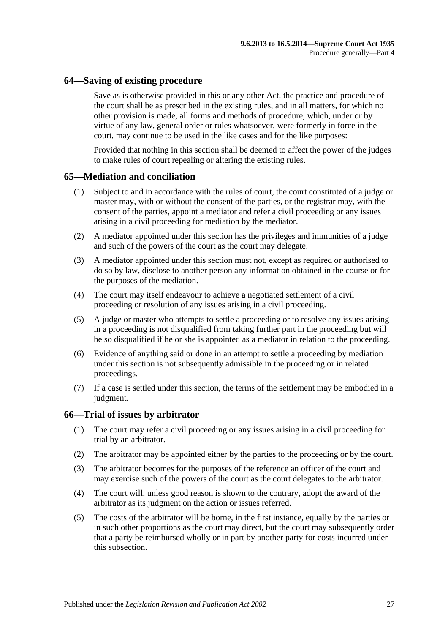### <span id="page-26-0"></span>**64—Saving of existing procedure**

Save as is otherwise provided in this or any other Act, the practice and procedure of the court shall be as prescribed in the existing rules, and in all matters, for which no other provision is made, all forms and methods of procedure, which, under or by virtue of any law, general order or rules whatsoever, were formerly in force in the court, may continue to be used in the like cases and for the like purposes:

Provided that nothing in this section shall be deemed to affect the power of the judges to make rules of court repealing or altering the existing rules.

### <span id="page-26-1"></span>**65—Mediation and conciliation**

- (1) Subject to and in accordance with the rules of court, the court constituted of a judge or master may, with or without the consent of the parties, or the registrar may, with the consent of the parties, appoint a mediator and refer a civil proceeding or any issues arising in a civil proceeding for mediation by the mediator.
- (2) A mediator appointed under this section has the privileges and immunities of a judge and such of the powers of the court as the court may delegate.
- (3) A mediator appointed under this section must not, except as required or authorised to do so by law, disclose to another person any information obtained in the course or for the purposes of the mediation.
- (4) The court may itself endeavour to achieve a negotiated settlement of a civil proceeding or resolution of any issues arising in a civil proceeding.
- (5) A judge or master who attempts to settle a proceeding or to resolve any issues arising in a proceeding is not disqualified from taking further part in the proceeding but will be so disqualified if he or she is appointed as a mediator in relation to the proceeding.
- (6) Evidence of anything said or done in an attempt to settle a proceeding by mediation under this section is not subsequently admissible in the proceeding or in related proceedings.
- (7) If a case is settled under this section, the terms of the settlement may be embodied in a judgment.

#### <span id="page-26-2"></span>**66—Trial of issues by arbitrator**

- (1) The court may refer a civil proceeding or any issues arising in a civil proceeding for trial by an arbitrator.
- (2) The arbitrator may be appointed either by the parties to the proceeding or by the court.
- (3) The arbitrator becomes for the purposes of the reference an officer of the court and may exercise such of the powers of the court as the court delegates to the arbitrator.
- (4) The court will, unless good reason is shown to the contrary, adopt the award of the arbitrator as its judgment on the action or issues referred.
- (5) The costs of the arbitrator will be borne, in the first instance, equally by the parties or in such other proportions as the court may direct, but the court may subsequently order that a party be reimbursed wholly or in part by another party for costs incurred under this subsection.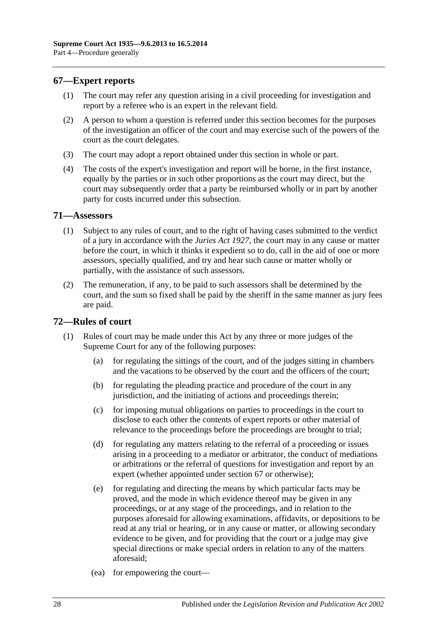### <span id="page-27-0"></span>**67—Expert reports**

- (1) The court may refer any question arising in a civil proceeding for investigation and report by a referee who is an expert in the relevant field.
- (2) A person to whom a question is referred under this section becomes for the purposes of the investigation an officer of the court and may exercise such of the powers of the court as the court delegates.
- (3) The court may adopt a report obtained under this section in whole or part.
- (4) The costs of the expert's investigation and report will be borne, in the first instance, equally by the parties or in such other proportions as the court may direct, but the court may subsequently order that a party be reimbursed wholly or in part by another party for costs incurred under this subsection.

### <span id="page-27-1"></span>**71—Assessors**

- (1) Subject to any rules of court, and to the right of having cases submitted to the verdict of a jury in accordance with the *[Juries Act](http://www.legislation.sa.gov.au/index.aspx?action=legref&type=act&legtitle=Juries%20Act%201927) 1927*, the court may in any cause or matter before the court, in which it thinks it expedient so to do, call in the aid of one or more assessors, specially qualified, and try and hear such cause or matter wholly or partially, with the assistance of such assessors.
- (2) The remuneration, if any, to be paid to such assessors shall be determined by the court, and the sum so fixed shall be paid by the sheriff in the same manner as jury fees are paid.

### <span id="page-27-2"></span>**72—Rules of court**

- (1) Rules of court may be made under this Act by any three or more judges of the Supreme Court for any of the following purposes:
	- (a) for regulating the sittings of the court, and of the judges sitting in chambers and the vacations to be observed by the court and the officers of the court;
	- (b) for regulating the pleading practice and procedure of the court in any jurisdiction, and the initiating of actions and proceedings therein;
	- (c) for imposing mutual obligations on parties to proceedings in the court to disclose to each other the contents of expert reports or other material of relevance to the proceedings before the proceedings are brought to trial;
	- (d) for regulating any matters relating to the referral of a proceeding or issues arising in a proceeding to a mediator or arbitrator, the conduct of mediations or arbitrations or the referral of questions for investigation and report by an expert (whether appointed under [section](#page-27-0) 67 or otherwise);
	- (e) for regulating and directing the means by which particular facts may be proved, and the mode in which evidence thereof may be given in any proceedings, or at any stage of the proceedings, and in relation to the purposes aforesaid for allowing examinations, affidavits, or depositions to be read at any trial or hearing, or in any cause or matter, or allowing secondary evidence to be given, and for providing that the court or a judge may give special directions or make special orders in relation to any of the matters aforesaid;
	- (ea) for empowering the court—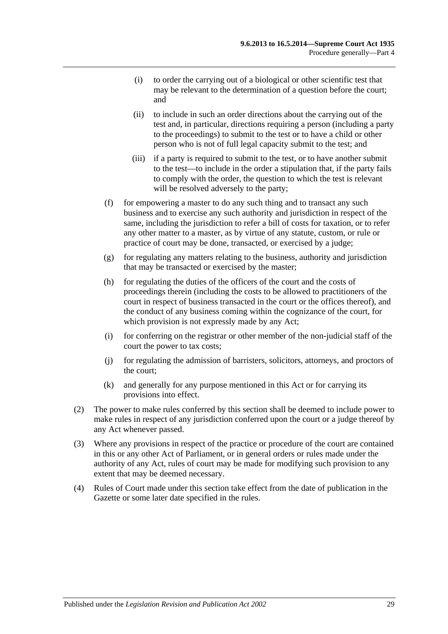- (i) to order the carrying out of a biological or other scientific test that may be relevant to the determination of a question before the court; and
- (ii) to include in such an order directions about the carrying out of the test and, in particular, directions requiring a person (including a party to the proceedings) to submit to the test or to have a child or other person who is not of full legal capacity submit to the test; and
- (iii) if a party is required to submit to the test, or to have another submit to the test—to include in the order a stipulation that, if the party fails to comply with the order, the question to which the test is relevant will be resolved adversely to the party;
- (f) for empowering a master to do any such thing and to transact any such business and to exercise any such authority and jurisdiction in respect of the same, including the jurisdiction to refer a bill of costs for taxation, or to refer any other matter to a master, as by virtue of any statute, custom, or rule or practice of court may be done, transacted, or exercised by a judge;
- (g) for regulating any matters relating to the business, authority and jurisdiction that may be transacted or exercised by the master;
- (h) for regulating the duties of the officers of the court and the costs of proceedings therein (including the costs to be allowed to practitioners of the court in respect of business transacted in the court or the offices thereof), and the conduct of any business coming within the cognizance of the court, for which provision is not expressly made by any Act;
- (i) for conferring on the registrar or other member of the non-judicial staff of the court the power to tax costs;
- (j) for regulating the admission of barristers, solicitors, attorneys, and proctors of the court;
- (k) and generally for any purpose mentioned in this Act or for carrying its provisions into effect.
- (2) The power to make rules conferred by this section shall be deemed to include power to make rules in respect of any jurisdiction conferred upon the court or a judge thereof by any Act whenever passed.
- (3) Where any provisions in respect of the practice or procedure of the court are contained in this or any other Act of Parliament, or in general orders or rules made under the authority of any Act, rules of court may be made for modifying such provision to any extent that may be deemed necessary.
- (4) Rules of Court made under this section take effect from the date of publication in the Gazette or some later date specified in the rules.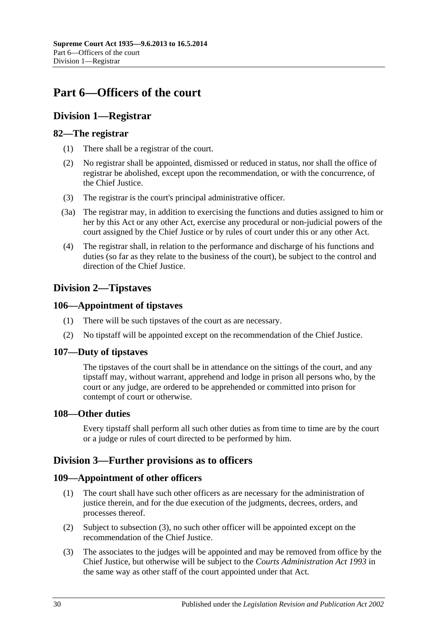# <span id="page-29-0"></span>**Part 6—Officers of the court**

## <span id="page-29-1"></span>**Division 1—Registrar**

### <span id="page-29-2"></span>**82—The registrar**

- (1) There shall be a registrar of the court.
- (2) No registrar shall be appointed, dismissed or reduced in status, nor shall the office of registrar be abolished, except upon the recommendation, or with the concurrence, of the Chief Justice.
- (3) The registrar is the court's principal administrative officer.
- (3a) The registrar may, in addition to exercising the functions and duties assigned to him or her by this Act or any other Act, exercise any procedural or non-judicial powers of the court assigned by the Chief Justice or by rules of court under this or any other Act.
- (4) The registrar shall, in relation to the performance and discharge of his functions and duties (so far as they relate to the business of the court), be subject to the control and direction of the Chief Justice.

## <span id="page-29-3"></span>**Division 2—Tipstaves**

### <span id="page-29-4"></span>**106—Appointment of tipstaves**

- (1) There will be such tipstaves of the court as are necessary.
- (2) No tipstaff will be appointed except on the recommendation of the Chief Justice.

### <span id="page-29-5"></span>**107—Duty of tipstaves**

The tipstaves of the court shall be in attendance on the sittings of the court, and any tipstaff may, without warrant, apprehend and lodge in prison all persons who, by the court or any judge, are ordered to be apprehended or committed into prison for contempt of court or otherwise.

### <span id="page-29-6"></span>**108—Other duties**

Every tipstaff shall perform all such other duties as from time to time are by the court or a judge or rules of court directed to be performed by him.

### <span id="page-29-7"></span>**Division 3—Further provisions as to officers**

### <span id="page-29-8"></span>**109—Appointment of other officers**

- (1) The court shall have such other officers as are necessary for the administration of justice therein, and for the due execution of the judgments, decrees, orders, and processes thereof.
- (2) Subject to [subsection](#page-29-9) (3), no such other officer will be appointed except on the recommendation of the Chief Justice.
- <span id="page-29-9"></span>(3) The associates to the judges will be appointed and may be removed from office by the Chief Justice, but otherwise will be subject to the *[Courts Administration Act](http://www.legislation.sa.gov.au/index.aspx?action=legref&type=act&legtitle=Courts%20Administration%20Act%201993) 1993* in the same way as other staff of the court appointed under that Act.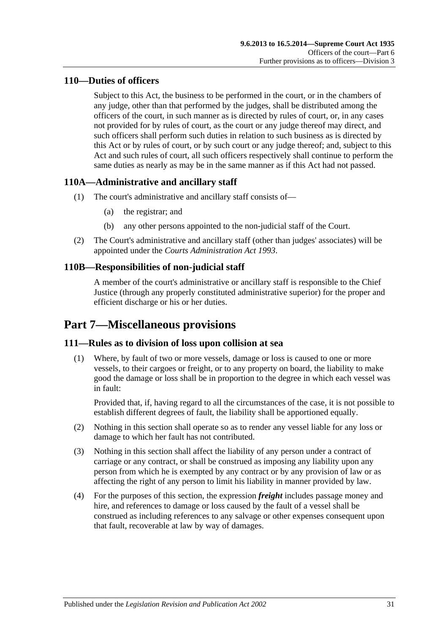### <span id="page-30-0"></span>**110—Duties of officers**

Subject to this Act, the business to be performed in the court, or in the chambers of any judge, other than that performed by the judges, shall be distributed among the officers of the court, in such manner as is directed by rules of court, or, in any cases not provided for by rules of court, as the court or any judge thereof may direct, and such officers shall perform such duties in relation to such business as is directed by this Act or by rules of court, or by such court or any judge thereof; and, subject to this Act and such rules of court, all such officers respectively shall continue to perform the same duties as nearly as may be in the same manner as if this Act had not passed.

## <span id="page-30-1"></span>**110A—Administrative and ancillary staff**

- (1) The court's administrative and ancillary staff consists of—
	- (a) the registrar; and
	- (b) any other persons appointed to the non-judicial staff of the Court.
- (2) The Court's administrative and ancillary staff (other than judges' associates) will be appointed under the *[Courts Administration Act](http://www.legislation.sa.gov.au/index.aspx?action=legref&type=act&legtitle=Courts%20Administration%20Act%201993) 1993*.

# <span id="page-30-2"></span>**110B—Responsibilities of non-judicial staff**

A member of the court's administrative or ancillary staff is responsible to the Chief Justice (through any properly constituted administrative superior) for the proper and efficient discharge or his or her duties.

# <span id="page-30-3"></span>**Part 7—Miscellaneous provisions**

### <span id="page-30-4"></span>**111—Rules as to division of loss upon collision at sea**

(1) Where, by fault of two or more vessels, damage or loss is caused to one or more vessels, to their cargoes or freight, or to any property on board, the liability to make good the damage or loss shall be in proportion to the degree in which each vessel was in fault:

Provided that, if, having regard to all the circumstances of the case, it is not possible to establish different degrees of fault, the liability shall be apportioned equally.

- (2) Nothing in this section shall operate so as to render any vessel liable for any loss or damage to which her fault has not contributed.
- (3) Nothing in this section shall affect the liability of any person under a contract of carriage or any contract, or shall be construed as imposing any liability upon any person from which he is exempted by any contract or by any provision of law or as affecting the right of any person to limit his liability in manner provided by law.
- (4) For the purposes of this section, the expression *freight* includes passage money and hire, and references to damage or loss caused by the fault of a vessel shall be construed as including references to any salvage or other expenses consequent upon that fault, recoverable at law by way of damages.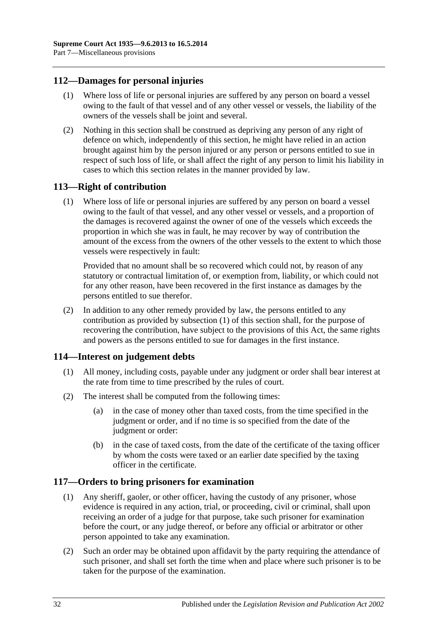### <span id="page-31-0"></span>**112—Damages for personal injuries**

- (1) Where loss of life or personal injuries are suffered by any person on board a vessel owing to the fault of that vessel and of any other vessel or vessels, the liability of the owners of the vessels shall be joint and several.
- (2) Nothing in this section shall be construed as depriving any person of any right of defence on which, independently of this section, he might have relied in an action brought against him by the person injured or any person or persons entitled to sue in respect of such loss of life, or shall affect the right of any person to limit his liability in cases to which this section relates in the manner provided by law.

### <span id="page-31-4"></span><span id="page-31-1"></span>**113—Right of contribution**

(1) Where loss of life or personal injuries are suffered by any person on board a vessel owing to the fault of that vessel, and any other vessel or vessels, and a proportion of the damages is recovered against the owner of one of the vessels which exceeds the proportion in which she was in fault, he may recover by way of contribution the amount of the excess from the owners of the other vessels to the extent to which those vessels were respectively in fault:

Provided that no amount shall be so recovered which could not, by reason of any statutory or contractual limitation of, or exemption from, liability, or which could not for any other reason, have been recovered in the first instance as damages by the persons entitled to sue therefor.

(2) In addition to any other remedy provided by law, the persons entitled to any contribution as provided by [subsection](#page-31-4) (1) of this section shall, for the purpose of recovering the contribution, have subject to the provisions of this Act, the same rights and powers as the persons entitled to sue for damages in the first instance.

### <span id="page-31-2"></span>**114—Interest on judgement debts**

- (1) All money, including costs, payable under any judgment or order shall bear interest at the rate from time to time prescribed by the rules of court.
- (2) The interest shall be computed from the following times:
	- (a) in the case of money other than taxed costs, from the time specified in the judgment or order, and if no time is so specified from the date of the judgment or order:
	- (b) in the case of taxed costs, from the date of the certificate of the taxing officer by whom the costs were taxed or an earlier date specified by the taxing officer in the certificate.

### <span id="page-31-3"></span>**117—Orders to bring prisoners for examination**

- (1) Any sheriff, gaoler, or other officer, having the custody of any prisoner, whose evidence is required in any action, trial, or proceeding, civil or criminal, shall upon receiving an order of a judge for that purpose, take such prisoner for examination before the court, or any judge thereof, or before any official or arbitrator or other person appointed to take any examination.
- (2) Such an order may be obtained upon affidavit by the party requiring the attendance of such prisoner, and shall set forth the time when and place where such prisoner is to be taken for the purpose of the examination.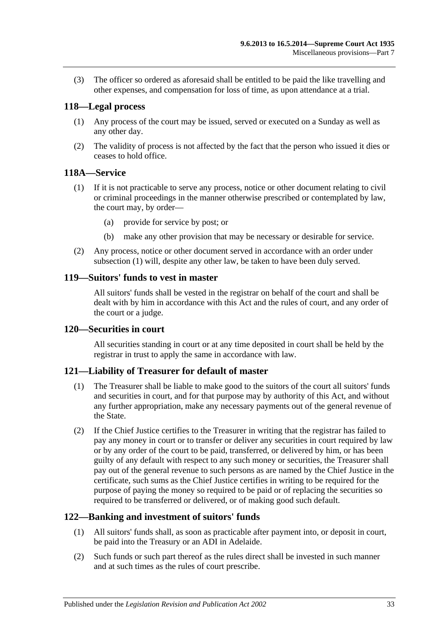(3) The officer so ordered as aforesaid shall be entitled to be paid the like travelling and other expenses, and compensation for loss of time, as upon attendance at a trial.

### <span id="page-32-0"></span>**118—Legal process**

- (1) Any process of the court may be issued, served or executed on a Sunday as well as any other day.
- (2) The validity of process is not affected by the fact that the person who issued it dies or ceases to hold office.

### <span id="page-32-6"></span><span id="page-32-1"></span>**118A—Service**

- (1) If it is not practicable to serve any process, notice or other document relating to civil or criminal proceedings in the manner otherwise prescribed or contemplated by law, the court may, by order—
	- (a) provide for service by post; or
	- (b) make any other provision that may be necessary or desirable for service.
- (2) Any process, notice or other document served in accordance with an order under [subsection](#page-32-6) (1) will, despite any other law, be taken to have been duly served.

### <span id="page-32-2"></span>**119—Suitors' funds to vest in master**

All suitors' funds shall be vested in the registrar on behalf of the court and shall be dealt with by him in accordance with this Act and the rules of court, and any order of the court or a judge.

### <span id="page-32-3"></span>**120—Securities in court**

All securities standing in court or at any time deposited in court shall be held by the registrar in trust to apply the same in accordance with law.

### <span id="page-32-4"></span>**121—Liability of Treasurer for default of master**

- (1) The Treasurer shall be liable to make good to the suitors of the court all suitors' funds and securities in court, and for that purpose may by authority of this Act, and without any further appropriation, make any necessary payments out of the general revenue of the State.
- (2) If the Chief Justice certifies to the Treasurer in writing that the registrar has failed to pay any money in court or to transfer or deliver any securities in court required by law or by any order of the court to be paid, transferred, or delivered by him, or has been guilty of any default with respect to any such money or securities, the Treasurer shall pay out of the general revenue to such persons as are named by the Chief Justice in the certificate, such sums as the Chief Justice certifies in writing to be required for the purpose of paying the money so required to be paid or of replacing the securities so required to be transferred or delivered, or of making good such default.

### <span id="page-32-5"></span>**122—Banking and investment of suitors' funds**

- (1) All suitors' funds shall, as soon as practicable after payment into, or deposit in court, be paid into the Treasury or an ADI in Adelaide.
- (2) Such funds or such part thereof as the rules direct shall be invested in such manner and at such times as the rules of court prescribe.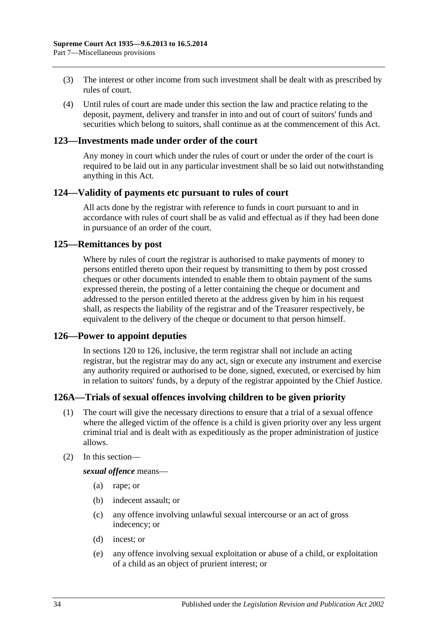- (3) The interest or other income from such investment shall be dealt with as prescribed by rules of court.
- (4) Until rules of court are made under this section the law and practice relating to the deposit, payment, delivery and transfer in into and out of court of suitors' funds and securities which belong to suitors, shall continue as at the commencement of this Act.

### <span id="page-33-0"></span>**123—Investments made under order of the court**

Any money in court which under the rules of court or under the order of the court is required to be laid out in any particular investment shall be so laid out notwithstanding anything in this Act.

### <span id="page-33-1"></span>**124—Validity of payments etc pursuant to rules of court**

All acts done by the registrar with reference to funds in court pursuant to and in accordance with rules of court shall be as valid and effectual as if they had been done in pursuance of an order of the court.

### <span id="page-33-2"></span>**125—Remittances by post**

Where by rules of court the registrar is authorised to make payments of money to persons entitled thereto upon their request by transmitting to them by post crossed cheques or other documents intended to enable them to obtain payment of the sums expressed therein, the posting of a letter containing the cheque or document and addressed to the person entitled thereto at the address given by him in his request shall, as respects the liability of the registrar and of the Treasurer respectively, be equivalent to the delivery of the cheque or document to that person himself.

### <span id="page-33-3"></span>**126—Power to appoint deputies**

In [sections](#page-32-3) 120 to 126, inclusive, the term registrar shall not include an acting registrar, but the registrar may do any act, sign or execute any instrument and exercise any authority required or authorised to be done, signed, executed, or exercised by him in relation to suitors' funds, by a deputy of the registrar appointed by the Chief Justice.

### <span id="page-33-4"></span>**126A—Trials of sexual offences involving children to be given priority**

- (1) The court will give the necessary directions to ensure that a trial of a sexual offence where the alleged victim of the offence is a child is given priority over any less urgent criminal trial and is dealt with as expeditiously as the proper administration of justice allows.
- (2) In this section—

*sexual offence* means—

- (a) rape; or
- (b) indecent assault; or
- (c) any offence involving unlawful sexual intercourse or an act of gross indecency; or
- (d) incest; or
- (e) any offence involving sexual exploitation or abuse of a child, or exploitation of a child as an object of prurient interest; or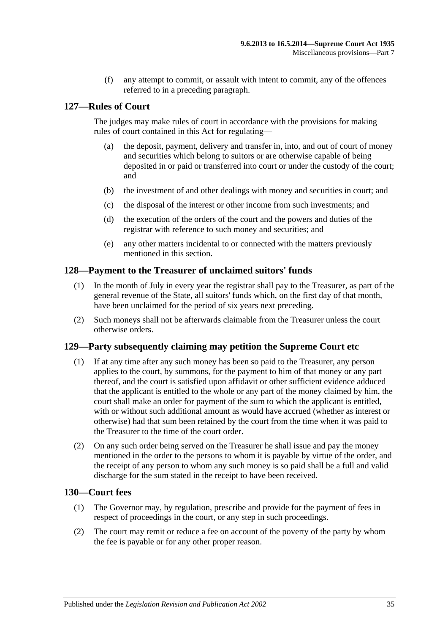(f) any attempt to commit, or assault with intent to commit, any of the offences referred to in a preceding paragraph.

### <span id="page-34-0"></span>**127—Rules of Court**

The judges may make rules of court in accordance with the provisions for making rules of court contained in this Act for regulating—

- (a) the deposit, payment, delivery and transfer in, into, and out of court of money and securities which belong to suitors or are otherwise capable of being deposited in or paid or transferred into court or under the custody of the court; and
- (b) the investment of and other dealings with money and securities in court; and
- (c) the disposal of the interest or other income from such investments; and
- (d) the execution of the orders of the court and the powers and duties of the registrar with reference to such money and securities; and
- (e) any other matters incidental to or connected with the matters previously mentioned in this section.

### <span id="page-34-1"></span>**128—Payment to the Treasurer of unclaimed suitors' funds**

- (1) In the month of July in every year the registrar shall pay to the Treasurer, as part of the general revenue of the State, all suitors' funds which, on the first day of that month, have been unclaimed for the period of six years next preceding.
- (2) Such moneys shall not be afterwards claimable from the Treasurer unless the court otherwise orders.

### <span id="page-34-2"></span>**129—Party subsequently claiming may petition the Supreme Court etc**

- (1) If at any time after any such money has been so paid to the Treasurer, any person applies to the court, by summons, for the payment to him of that money or any part thereof, and the court is satisfied upon affidavit or other sufficient evidence adduced that the applicant is entitled to the whole or any part of the money claimed by him, the court shall make an order for payment of the sum to which the applicant is entitled, with or without such additional amount as would have accrued (whether as interest or otherwise) had that sum been retained by the court from the time when it was paid to the Treasurer to the time of the court order.
- (2) On any such order being served on the Treasurer he shall issue and pay the money mentioned in the order to the persons to whom it is payable by virtue of the order, and the receipt of any person to whom any such money is so paid shall be a full and valid discharge for the sum stated in the receipt to have been received.

### <span id="page-34-3"></span>**130—Court fees**

- (1) The Governor may, by regulation, prescribe and provide for the payment of fees in respect of proceedings in the court, or any step in such proceedings.
- (2) The court may remit or reduce a fee on account of the poverty of the party by whom the fee is payable or for any other proper reason.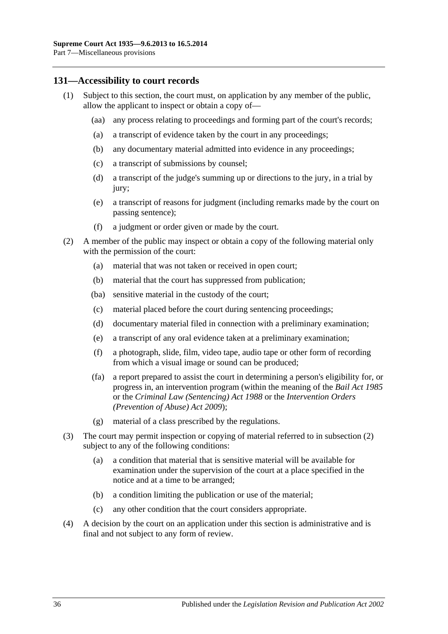### <span id="page-35-0"></span>**131—Accessibility to court records**

- (1) Subject to this section, the court must, on application by any member of the public, allow the applicant to inspect or obtain a copy of—
	- (aa) any process relating to proceedings and forming part of the court's records;
	- (a) a transcript of evidence taken by the court in any proceedings;
	- (b) any documentary material admitted into evidence in any proceedings;
	- (c) a transcript of submissions by counsel;
	- (d) a transcript of the judge's summing up or directions to the jury, in a trial by jury;
	- (e) a transcript of reasons for judgment (including remarks made by the court on passing sentence);
	- (f) a judgment or order given or made by the court.
- <span id="page-35-1"></span>(2) A member of the public may inspect or obtain a copy of the following material only with the permission of the court:
	- (a) material that was not taken or received in open court;
	- (b) material that the court has suppressed from publication;
	- (ba) sensitive material in the custody of the court;
	- (c) material placed before the court during sentencing proceedings;
	- (d) documentary material filed in connection with a preliminary examination;
	- (e) a transcript of any oral evidence taken at a preliminary examination;
	- (f) a photograph, slide, film, video tape, audio tape or other form of recording from which a visual image or sound can be produced;
	- (fa) a report prepared to assist the court in determining a person's eligibility for, or progress in, an intervention program (within the meaning of the *[Bail Act](http://www.legislation.sa.gov.au/index.aspx?action=legref&type=act&legtitle=Bail%20Act%201985) 1985* or the *[Criminal Law \(Sentencing\) Act](http://www.legislation.sa.gov.au/index.aspx?action=legref&type=act&legtitle=Criminal%20Law%20(Sentencing)%20Act%201988) 1988* or the *Intervention Orders (Prevention of Abuse) Act 2009*);
	- (g) material of a class prescribed by the regulations.
- (3) The court may permit inspection or copying of material referred to in [subsection](#page-35-1) (2) subject to any of the following conditions:
	- (a) a condition that material that is sensitive material will be available for examination under the supervision of the court at a place specified in the notice and at a time to be arranged;
	- (b) a condition limiting the publication or use of the material;
	- (c) any other condition that the court considers appropriate.
- (4) A decision by the court on an application under this section is administrative and is final and not subject to any form of review.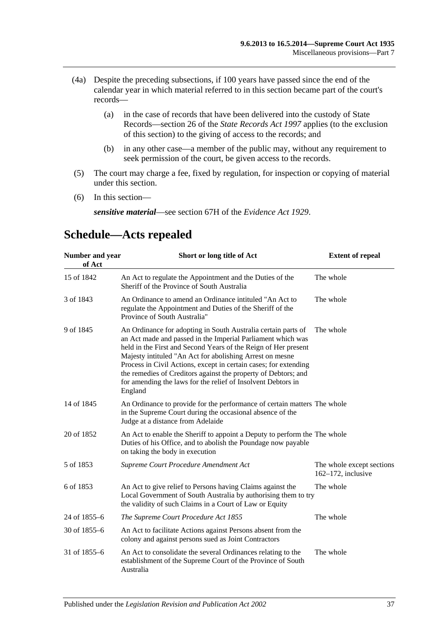- (4a) Despite the preceding subsections, if 100 years have passed since the end of the calendar year in which material referred to in this section became part of the court's records—
	- (a) in the case of records that have been delivered into the custody of State Records—section 26 of the *[State Records Act](http://www.legislation.sa.gov.au/index.aspx?action=legref&type=act&legtitle=State%20Records%20Act%201997) 1997* applies (to the exclusion of this section) to the giving of access to the records; and
	- (b) in any other case—a member of the public may, without any requirement to seek permission of the court, be given access to the records.
- (5) The court may charge a fee, fixed by regulation, for inspection or copying of material under this section.
- (6) In this section—

*sensitive material*—see section 67H of the *[Evidence Act](http://www.legislation.sa.gov.au/index.aspx?action=legref&type=act&legtitle=Evidence%20Act%201929) 1929*.

#### **Number and year of Act Short or long title of Act Extent of repeal** 15 of 1842 An Act to regulate the Appointment and the Duties of the Sheriff of the Province of South Australia The whole 3 of 1843 An Ordinance to amend an Ordinance intituled "An Act to regulate the Appointment and Duties of the Sheriff of the Province of South Australia" The whole 9 of 1845 An Ordinance for adopting in South Australia certain parts of an Act made and passed in the Imperial Parliament which was held in the First and Second Years of the Reign of Her present Majesty intituled "An Act for abolishing Arrest on mesne Process in Civil Actions, except in certain cases; for extending the remedies of Creditors against the property of Debtors; and for amending the laws for the relief of Insolvent Debtors in England The whole 14 of 1845 An Ordinance to provide for the performance of certain matters The whole in the Supreme Court during the occasional absence of the Judge at a distance from Adelaide 20 of 1852 An Act to enable the Sheriff to appoint a Deputy to perform the The whole Duties of his Office, and to abolish the Poundage now payable on taking the body in execution 5 of 1853 *[Supreme Court Procedure Amendment Act](http://www.legislation.sa.gov.au/index.aspx?action=legref&type=act&legtitle=Supreme%20Court%20Procedure%20Amendment%20Act)* The whole except sections 162–172, inclusive 6 of 1853 An Act to give relief to Persons having Claims against the Local Government of South Australia by authorising them to try the validity of such Claims in a Court of Law or Equity The whole 24 of 1855–6 *[The Supreme Court Procedure Act](http://www.legislation.sa.gov.au/index.aspx?action=legref&type=act&legtitle=The%20Supreme%20Court%20Procedure%20Act%201855) 1855* The whole 30 of 1855–6 An Act to facilitate Actions against Persons absent from the colony and against persons sued as Joint Contractors 31 of 1855–6 An Act to consolidate the several Ordinances relating to the establishment of the Supreme Court of the Province of South Australia The whole

# <span id="page-36-0"></span>**Schedule—Acts repealed**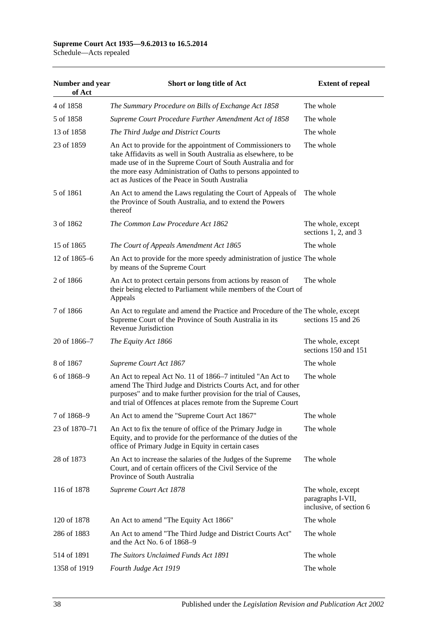## **Supreme Court Act 1935—9.6.2013 to 16.5.2014**

Schedule—Acts repealed

| Number and year<br>of Act | Short or long title of Act                                                                                                                                                                                                                                                                                     | <b>Extent of repeal</b>                                           |
|---------------------------|----------------------------------------------------------------------------------------------------------------------------------------------------------------------------------------------------------------------------------------------------------------------------------------------------------------|-------------------------------------------------------------------|
| 4 of 1858                 | The Summary Procedure on Bills of Exchange Act 1858                                                                                                                                                                                                                                                            | The whole                                                         |
| 5 of 1858                 | Supreme Court Procedure Further Amendment Act of 1858                                                                                                                                                                                                                                                          | The whole                                                         |
| 13 of 1858                | The Third Judge and District Courts                                                                                                                                                                                                                                                                            | The whole                                                         |
| 23 of 1859                | An Act to provide for the appointment of Commissioners to<br>take Affidavits as well in South Australia as elsewhere, to be<br>made use of in the Supreme Court of South Australia and for<br>the more easy Administration of Oaths to persons appointed to<br>act as Justices of the Peace in South Australia | The whole                                                         |
| 5 of 1861                 | An Act to amend the Laws regulating the Court of Appeals of<br>the Province of South Australia, and to extend the Powers<br>thereof                                                                                                                                                                            | The whole                                                         |
| 3 of 1862                 | The Common Law Procedure Act 1862                                                                                                                                                                                                                                                                              | The whole, except<br>sections $1, 2$ , and $3$                    |
| 15 of 1865                | The Court of Appeals Amendment Act 1865                                                                                                                                                                                                                                                                        | The whole                                                         |
| 12 of $1865-6$            | An Act to provide for the more speedy administration of justice The whole<br>by means of the Supreme Court                                                                                                                                                                                                     |                                                                   |
| 2 of 1866                 | An Act to protect certain persons from actions by reason of<br>their being elected to Parliament while members of the Court of<br>Appeals                                                                                                                                                                      | The whole                                                         |
| 7 of 1866                 | An Act to regulate and amend the Practice and Procedure of the The whole, except<br>Supreme Court of the Province of South Australia in its<br>Revenue Jurisdiction                                                                                                                                            | sections 15 and 26                                                |
| 20 of 1866–7              | The Equity Act 1866                                                                                                                                                                                                                                                                                            | The whole, except<br>sections 150 and 151                         |
| 8 of 1867                 | Supreme Court Act 1867                                                                                                                                                                                                                                                                                         | The whole                                                         |
| 6 of 1868–9               | An Act to repeal Act No. 11 of 1866–7 intituled "An Act to<br>amend The Third Judge and Districts Courts Act, and for other<br>purposes" and to make further provision for the trial of Causes,<br>and trial of Offences at places remote from the Supreme Court                                               | The whole                                                         |
| 7 of 1868-9               | An Act to amend the "Supreme Court Act 1867"                                                                                                                                                                                                                                                                   | The whole                                                         |
| 23 of 1870–71             | An Act to fix the tenure of office of the Primary Judge in<br>Equity, and to provide for the performance of the duties of the<br>office of Primary Judge in Equity in certain cases                                                                                                                            | The whole                                                         |
| 28 of 1873                | An Act to increase the salaries of the Judges of the Supreme<br>Court, and of certain officers of the Civil Service of the<br>Province of South Australia                                                                                                                                                      | The whole                                                         |
| 116 of 1878               | Supreme Court Act 1878                                                                                                                                                                                                                                                                                         | The whole, except<br>paragraphs I-VII,<br>inclusive, of section 6 |
| 120 of 1878               | An Act to amend "The Equity Act 1866"                                                                                                                                                                                                                                                                          | The whole                                                         |
| 286 of 1883               | An Act to amend "The Third Judge and District Courts Act"<br>and the Act No. 6 of 1868–9                                                                                                                                                                                                                       | The whole                                                         |
| 514 of 1891               | The Suitors Unclaimed Funds Act 1891                                                                                                                                                                                                                                                                           | The whole                                                         |
| 1358 of 1919              | Fourth Judge Act 1919                                                                                                                                                                                                                                                                                          | The whole                                                         |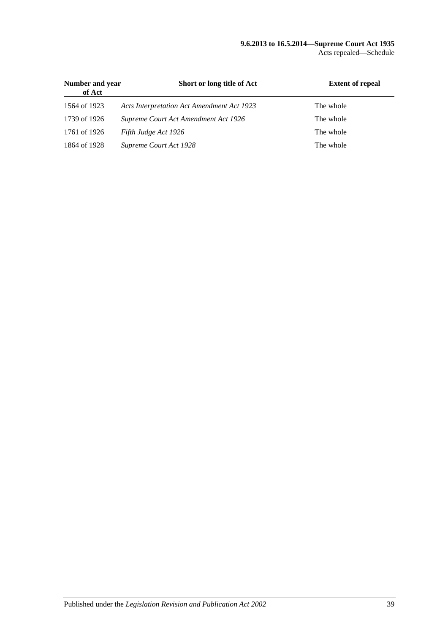#### **9.6.2013 to 16.5.2014—Supreme Court Act 1935** Acts repealed—Schedule

| Number and year<br>of Act | Short or long title of Act                 | <b>Extent of repeal</b> |
|---------------------------|--------------------------------------------|-------------------------|
| 1564 of 1923              | Acts Interpretation Act Amendment Act 1923 | The whole               |
| 1739 of 1926              | Supreme Court Act Amendment Act 1926       | The whole               |
| 1761 of 1926              | Fifth Judge Act 1926                       | The whole               |
| 1864 of 1928              | Supreme Court Act 1928                     | The whole               |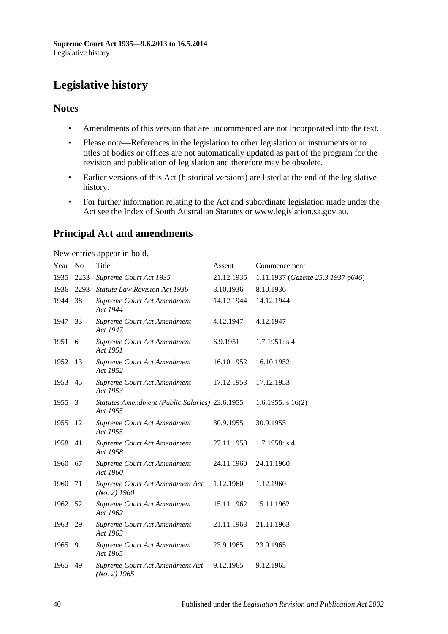# <span id="page-39-0"></span>**Legislative history**

### **Notes**

- Amendments of this version that are uncommenced are not incorporated into the text.
- Please note—References in the legislation to other legislation or instruments or to titles of bodies or offices are not automatically updated as part of the program for the revision and publication of legislation and therefore may be obsolete.
- Earlier versions of this Act (historical versions) are listed at the end of the legislative history.
- For further information relating to the Act and subordinate legislation made under the Act see the Index of South Australian Statutes or www.legislation.sa.gov.au.

# **Principal Act and amendments**

New entries appear in bold.

| Year No |      | Title                                                      | Assent     | Commencement                       |
|---------|------|------------------------------------------------------------|------------|------------------------------------|
| 1935    | 2253 | Supreme Court Act 1935                                     | 21.12.1935 | 1.11.1937 (Gazette 25.3.1937 p646) |
| 1936    | 2293 | <b>Statute Law Revision Act 1936</b>                       | 8.10.1936  | 8.10.1936                          |
| 1944    | 38   | Supreme Court Act Amendment<br>Act 1944                    | 14.12.1944 | 14.12.1944                         |
| 1947    | 33   | Supreme Court Act Amendment<br>Act 1947                    | 4.12.1947  | 4.12.1947                          |
| 1951    | 6    | Supreme Court Act Amendment<br>Act 1951                    | 6.9.1951   | 1.7.1951: s4                       |
| 1952    | -13  | Supreme Court Act Amendment<br>Act 1952                    | 16.10.1952 | 16.10.1952                         |
| 1953    | 45   | Supreme Court Act Amendment<br>Act 1953                    | 17.12.1953 | 17.12.1953                         |
| 1955    | 3    | Statutes Amendment (Public Salaries) 23.6.1955<br>Act 1955 |            | $1.6.1955$ : s $16(2)$             |
| 1955    | 12   | Supreme Court Act Amendment<br>Act 1955                    | 30.9.1955  | 30.9.1955                          |
| 1958    | 41   | Supreme Court Act Amendment<br>Act 1958                    | 27.11.1958 | $1.7.1958$ : s 4                   |
| 1960    | 67   | Supreme Court Act Amendment<br>Act 1960                    | 24.11.1960 | 24.11.1960                         |
| 1960    | 71   | Supreme Court Act Amendment Act<br>$(No. 2)$ 1960          | 1.12.1960  | 1.12.1960                          |
| 1962    | 52   | Supreme Court Act Amendment<br>Act 1962                    | 15.11.1962 | 15.11.1962                         |
| 1963    | 29   | Supreme Court Act Amendment<br>Act 1963                    | 21.11.1963 | 21.11.1963                         |
| 1965    | -9   | Supreme Court Act Amendment<br>Act 1965                    | 23.9.1965  | 23.9.1965                          |
| 1965    | 49   | Supreme Court Act Amendment Act<br>$(No. 2)$ 1965          | 9.12.1965  | 9.12.1965                          |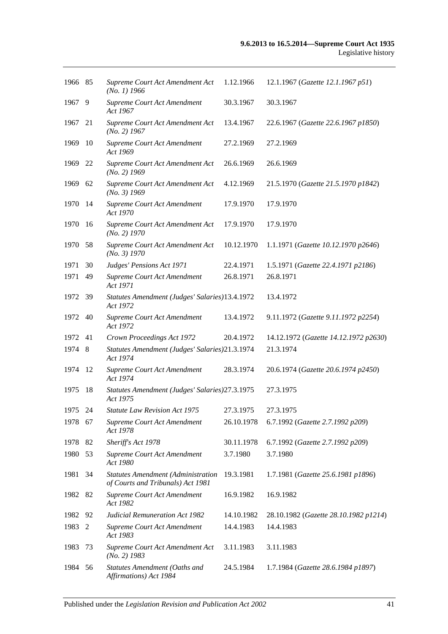| 1966 85 |     | Supreme Court Act Amendment Act<br>$(No. 1)$ 1966                              | 1.12.1966  | 12.1.1967 (Gazette 12.1.1967 p51)     |
|---------|-----|--------------------------------------------------------------------------------|------------|---------------------------------------|
| 1967    | 9   | Supreme Court Act Amendment<br>Act 1967                                        | 30.3.1967  | 30.3.1967                             |
| 1967    | 21  | Supreme Court Act Amendment Act<br>$(No. 2)$ 1967                              | 13.4.1967  | 22.6.1967 (Gazette 22.6.1967 p1850)   |
| 1969    | 10  | Supreme Court Act Amendment<br>Act 1969                                        | 27.2.1969  | 27.2.1969                             |
| 1969    | 22  | Supreme Court Act Amendment Act<br>$(No. 2)$ 1969                              | 26.6.1969  | 26.6.1969                             |
| 1969    | 62  | Supreme Court Act Amendment Act<br>$(No. 3)$ 1969                              | 4.12.1969  | 21.5.1970 (Gazette 21.5.1970 p1842)   |
| 1970    | 14  | Supreme Court Act Amendment<br>Act 1970                                        | 17.9.1970  | 17.9.1970                             |
| 1970    | 16  | Supreme Court Act Amendment Act<br>$(No. 2)$ 1970                              | 17.9.1970  | 17.9.1970                             |
| 1970    | 58  | Supreme Court Act Amendment Act<br>(No. 3) 1970                                | 10.12.1970 | 1.1.1971 (Gazette 10.12.1970 p2646)   |
| 1971    | 30  | Judges' Pensions Act 1971                                                      | 22.4.1971  | 1.5.1971 (Gazette 22.4.1971 p2186)    |
| 1971    | 49  | Supreme Court Act Amendment<br>Act 1971                                        | 26.8.1971  | 26.8.1971                             |
| 1972    | -39 | Statutes Amendment (Judges' Salaries)13.4.1972<br>Act 1972                     |            | 13.4.1972                             |
| 1972    | 40  | Supreme Court Act Amendment<br>Act 1972                                        | 13.4.1972  | 9.11.1972 (Gazette 9.11.1972 p2254)   |
| 1972    | 41  | Crown Proceedings Act 1972                                                     | 20.4.1972  | 14.12.1972 (Gazette 14.12.1972 p2630) |
| 1974    | - 8 | Statutes Amendment (Judges' Salaries)21.3.1974<br>Act 1974                     |            | 21.3.1974                             |
| 1974    | 12  | Supreme Court Act Amendment<br>Act 1974                                        | 28.3.1974  | 20.6.1974 (Gazette 20.6.1974 p2450)   |
|         |     |                                                                                |            |                                       |
| 1975    | 18  | Statutes Amendment (Judges' Salaries) 27.3.1975<br>Act 1975                    |            | 27.3.1975                             |
| 1975 24 |     | <i>Statute Law Revision Act 1975</i>                                           | 27.3.1975  | 27.3.1975                             |
| 1978 67 |     | Supreme Court Act Amendment<br>Act 1978                                        | 26.10.1978 | 6.7.1992 (Gazette 2.7.1992 p209)      |
| 1978    | 82  | Sheriff's Act 1978                                                             | 30.11.1978 | 6.7.1992 (Gazette 2.7.1992 p209)      |
| 1980    | 53  | Supreme Court Act Amendment<br>Act 1980                                        | 3.7.1980   | 3.7.1980                              |
| 1981    | 34  | <b>Statutes Amendment (Administration</b><br>of Courts and Tribunals) Act 1981 | 19.3.1981  | 1.7.1981 (Gazette 25.6.1981 p1896)    |
| 1982    | 82  | Supreme Court Act Amendment<br>Act 1982                                        | 16.9.1982  | 16.9.1982                             |
| 1982    | 92  | <b>Judicial Remuneration Act 1982</b>                                          | 14.10.1982 | 28.10.1982 (Gazette 28.10.1982 p1214) |
| 1983    | 2   | Supreme Court Act Amendment<br>Act 1983                                        | 14.4.1983  | 14.4.1983                             |
| 1983    | 73  | Supreme Court Act Amendment Act<br>$(No. 2)$ 1983                              | 3.11.1983  | 3.11.1983                             |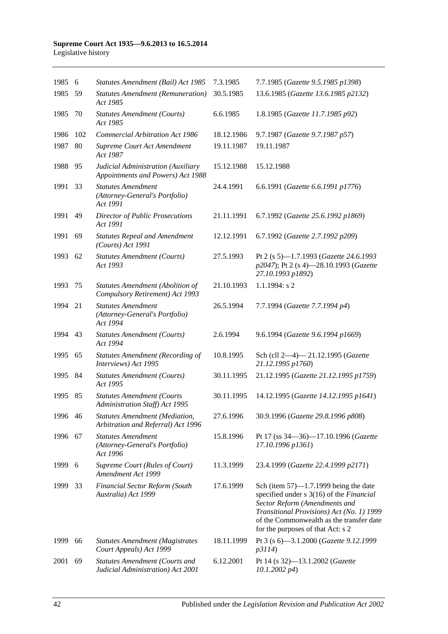| 1985    | 6   | Statutes Amendment (Bail) Act 1985                                          | 7.3.1985   | 7.7.1985 (Gazette 9.5.1985 p1398)                                                                                                                                                                                                                   |
|---------|-----|-----------------------------------------------------------------------------|------------|-----------------------------------------------------------------------------------------------------------------------------------------------------------------------------------------------------------------------------------------------------|
| 1985    | 59  | <b>Statutes Amendment (Remuneration)</b><br>Act 1985                        | 30.5.1985  | 13.6.1985 (Gazette 13.6.1985 p2132)                                                                                                                                                                                                                 |
| 1985    | 70  | <b>Statutes Amendment (Courts)</b><br>Act 1985                              | 6.6.1985   | 1.8.1985 (Gazette 11.7.1985 p92)                                                                                                                                                                                                                    |
| 1986    | 102 | <b>Commercial Arbitration Act 1986</b>                                      | 18.12.1986 | 9.7.1987 (Gazette 9.7.1987 p57)                                                                                                                                                                                                                     |
| 1987    | 80  | Supreme Court Act Amendment<br>Act 1987                                     | 19.11.1987 | 19.11.1987                                                                                                                                                                                                                                          |
| 1988    | 95  | Judicial Administration (Auxiliary<br>Appointments and Powers) Act 1988     | 15.12.1988 | 15.12.1988                                                                                                                                                                                                                                          |
| 1991    | 33  | <b>Statutes Amendment</b><br>(Attorney-General's Portfolio)<br>Act 1991     | 24.4.1991  | 6.6.1991 (Gazette 6.6.1991 p1776)                                                                                                                                                                                                                   |
| 1991    | 49  | <b>Director of Public Prosecutions</b><br>Act 1991                          | 21.11.1991 | 6.7.1992 (Gazette 25.6.1992 p1869)                                                                                                                                                                                                                  |
| 1991    | 69  | <b>Statutes Repeal and Amendment</b><br>(Courts) Act 1991                   | 12.12.1991 | 6.7.1992 (Gazette 2.7.1992 p209)                                                                                                                                                                                                                    |
| 1993    | 62  | <b>Statutes Amendment (Courts)</b><br>Act 1993                              | 27.5.1993  | Pt 2 (s 5)-1.7.1993 (Gazette 24.6.1993<br>p2047); Pt 2 (s 4)-28.10.1993 (Gazette<br>27.10.1993 p1892)                                                                                                                                               |
| 1993    | 75  | Statutes Amendment (Abolition of<br>Compulsory Retirement) Act 1993         | 21.10.1993 | $1.1.1994$ : s 2                                                                                                                                                                                                                                    |
| 1994    | 21  | <b>Statutes Amendment</b><br>(Attorney-General's Portfolio)<br>Act 1994     | 26.5.1994  | 7.7.1994 (Gazette 7.7.1994 p4)                                                                                                                                                                                                                      |
| 1994    | 43  | <b>Statutes Amendment (Courts)</b><br>Act 1994                              | 2.6.1994   | 9.6.1994 (Gazette 9.6.1994 p1669)                                                                                                                                                                                                                   |
| 1995    | 65  | <b>Statutes Amendment (Recording of</b><br>Interviews) Act 1995             | 10.8.1995  | Sch (cll 2-4)-21.12.1995 (Gazette<br>21.12.1995 p1760)                                                                                                                                                                                              |
| 1995    | 84  | <b>Statutes Amendment (Courts)</b><br>Act 1995                              | 30.11.1995 | 21.12.1995 (Gazette 21.12.1995 p1759)                                                                                                                                                                                                               |
| 1995    | 85  | <b>Statutes Amendment (Courts</b><br>Administration Staff) Act 1995         | 30.11.1995 | 14.12.1995 (Gazette 14.12.1995 p1641)                                                                                                                                                                                                               |
| 1996 46 |     | <b>Statutes Amendment (Mediation,</b><br>Arbitration and Referral) Act 1996 | 27.6.1996  | 30.9.1996 (Gazette 29.8.1996 p808)                                                                                                                                                                                                                  |
| 1996    | 67  | <b>Statutes Amendment</b><br>(Attorney-General's Portfolio)<br>Act 1996     | 15.8.1996  | Pt 17 (ss 34–36)–17.10.1996 (Gazette<br>17.10.1996 p1361)                                                                                                                                                                                           |
| 1999    | 6   | Supreme Court (Rules of Court)<br>Amendment Act 1999                        | 11.3.1999  | 23.4.1999 (Gazette 22.4.1999 p2171)                                                                                                                                                                                                                 |
| 1999    | 33  | <b>Financial Sector Reform (South</b><br>Australia) Act 1999                | 17.6.1999  | Sch (item $57$ )—1.7.1999 being the date<br>specified under s 3(16) of the Financial<br>Sector Reform (Amendments and<br>Transitional Provisions) Act (No. 1) 1999<br>of the Commonwealth as the transfer date<br>for the purposes of that Act: s 2 |
| 1999    | 66  | <b>Statutes Amendment (Magistrates</b><br>Court Appeals) Act 1999           | 18.11.1999 | Pt 3 (s 6)-3.1.2000 (Gazette 9.12.1999<br>p3114)                                                                                                                                                                                                    |
| 2001    | 69  | <b>Statutes Amendment (Courts and</b><br>Judicial Administration) Act 2001  | 6.12.2001  | Pt 14 (s 32)-13.1.2002 (Gazette<br>$10.1.2002\ p4)$                                                                                                                                                                                                 |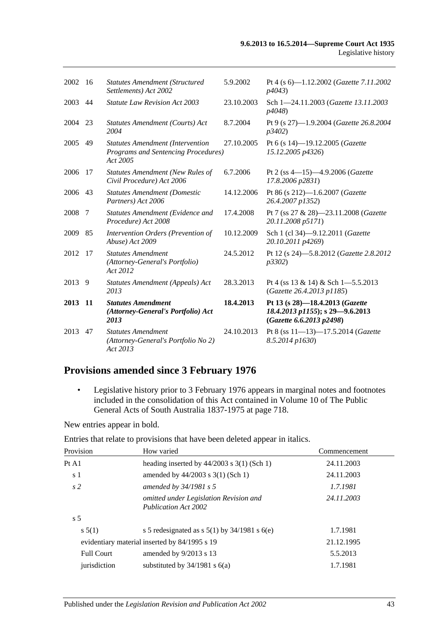| 2002 16 |           | <b>Statutes Amendment (Structured)</b><br>Settlements) Act 2002                                   | 5.9.2002   | Pt 4 (s 6)-1.12.2002 (Gazette 7.11.2002<br>p4043)                                              |
|---------|-----------|---------------------------------------------------------------------------------------------------|------------|------------------------------------------------------------------------------------------------|
| 2003    | 44        | <b>Statute Law Revision Act 2003</b>                                                              | 23.10.2003 | Sch 1-24.11.2003 (Gazette 13.11.2003)<br>p4048)                                                |
| 2004    | 23        | Statutes Amendment (Courts) Act<br>2004                                                           | 8.7.2004   | Pt 9 (s 27)-1.9.2004 (Gazette 26.8.2004<br>p3402)                                              |
| 2005    | 49        | <b>Statutes Amendment (Intervention</b><br><b>Programs and Sentencing Procedures)</b><br>Act 2005 | 27.10.2005 | Pt 6 (s 14)-19.12.2005 (Gazette<br>15.12.2005 p4326)                                           |
| 2006    | 17        | <b>Statutes Amendment (New Rules of</b><br>Civil Procedure) Act 2006                              | 6.7.2006   | Pt 2 (ss 4-15)-4.9.2006 (Gazette<br>17.8.2006 p2831)                                           |
| 2006    | 43        | <b>Statutes Amendment (Domestic</b><br>Partners) Act 2006                                         | 14.12.2006 | Pt 86 (s 212)-1.6.2007 (Gazette<br>26.4.2007 p1352)                                            |
| 2008    | 7         | Statutes Amendment (Evidence and<br>Procedure) Act 2008                                           | 17.4.2008  | Pt 7 (ss 27 & 28)-23.11.2008 (Gazette<br>20.11.2008 p5171)                                     |
| 2009    | 85        | Intervention Orders (Prevention of<br>Abuse) Act 2009                                             | 10.12.2009 | Sch 1 (cl 34)-9.12.2011 (Gazette<br>20.10.2011 p4269)                                          |
| 2012    | 17        | <b>Statutes Amendment</b><br>(Attorney-General's Portfolio)<br>Act 2012                           | 24.5.2012  | Pt 12 (s 24)-5.8.2012 (Gazette 2.8.2012<br>p3302)                                              |
| 2013    | -9        | Statutes Amendment (Appeals) Act<br>2013                                                          | 28.3.2013  | Pt 4 (ss $13 \& 14$ ) & Sch 1-5.5.2013<br>(Gazette 26.4.2013 p1185)                            |
| 2013    | <b>11</b> | <b>Statutes Amendment</b><br>(Attorney-General's Portfolio) Act<br>2013                           | 18.4.2013  | Pt 13 (s 28)-18.4.2013 (Gazette<br>18.4.2013 p1155); s 29-9.6.2013<br>(Gazette 6.6.2013 p2498) |
| 2013    | 47        | <b>Statutes Amendment</b><br>(Attorney-General's Portfolio No 2)<br>Act 2013                      | 24.10.2013 | Pt 8 (ss $11-13-17.5.2014$ (Gazette<br>8.5.2014 p1630)                                         |

# **Provisions amended since 3 February 1976**

• Legislative history prior to 3 February 1976 appears in marginal notes and footnotes included in the consolidation of this Act contained in Volume 10 of The Public General Acts of South Australia 1837-1975 at page 718.

New entries appear in bold.

Entries that relate to provisions that have been deleted appear in italics.

| Provision         | How varied                                                            | Commencement |
|-------------------|-----------------------------------------------------------------------|--------------|
| Pt A1             | heading inserted by $44/2003$ s 3(1) (Sch 1)                          | 24.11.2003   |
| s 1               | amended by $44/2003$ s 3(1) (Sch 1)                                   | 24.11.2003   |
| s <sub>2</sub>    | amended by $34/1981$ s 5                                              | 1.7.1981     |
|                   | omitted under Legislation Revision and<br><b>Publication Act 2002</b> | 24.11.2003   |
| s <sub>5</sub>    |                                                                       |              |
| s 5(1)            | s 5 redesignated as s $5(1)$ by $34/1981$ s $6(e)$                    | 1.7.1981     |
|                   | evidentiary material inserted by 84/1995 s 19                         | 21.12.1995   |
| <b>Full Court</b> | amended by $9/2013$ s 13                                              | 5.5.2013     |
| jurisdiction      | substituted by $34/1981$ s $6(a)$                                     | 1.7.1981     |
|                   |                                                                       |              |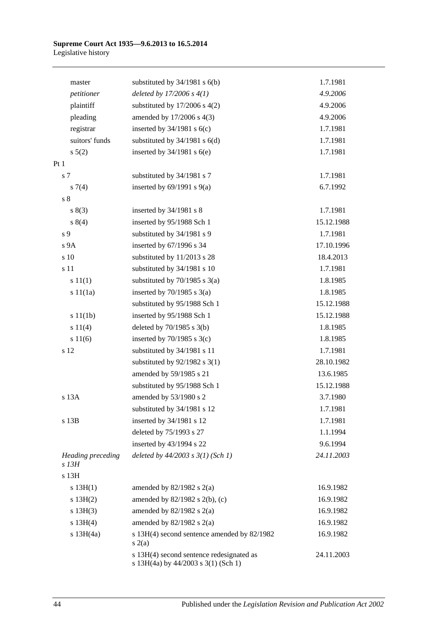| master                          | substituted by $34/1981$ s $6(b)$                                               | 1.7.1981   |
|---------------------------------|---------------------------------------------------------------------------------|------------|
| petitioner                      | deleted by $17/2006 s 4(1)$                                                     | 4.9.2006   |
| plaintiff                       | substituted by $17/2006$ s $4(2)$                                               | 4.9.2006   |
| pleading                        | amended by 17/2006 s 4(3)                                                       | 4.9.2006   |
| registrar                       | inserted by $34/1981$ s $6(c)$                                                  | 1.7.1981   |
| suitors' funds                  | substituted by $34/1981$ s $6(d)$                                               | 1.7.1981   |
| $s\ 5(2)$                       | inserted by $34/1981$ s $6(e)$                                                  | 1.7.1981   |
| Pt1                             |                                                                                 |            |
| s 7                             | substituted by 34/1981 s 7                                                      | 1.7.1981   |
| $s \, 7(4)$                     | inserted by $69/1991$ s $9(a)$                                                  | 6.7.1992   |
| $\sqrt{s}$ 8                    |                                                                                 |            |
| s(3)                            | inserted by $34/1981$ s 8                                                       | 1.7.1981   |
| s(4)                            | inserted by 95/1988 Sch 1                                                       | 15.12.1988 |
| s 9                             | substituted by 34/1981 s 9                                                      | 1.7.1981   |
| s <sub>9A</sub>                 | inserted by 67/1996 s 34                                                        | 17.10.1996 |
| s 10                            | substituted by 11/2013 s 28                                                     | 18.4.2013  |
| s 11                            | substituted by 34/1981 s 10                                                     | 1.7.1981   |
| s 11(1)                         | substituted by $70/1985$ s $3(a)$                                               | 1.8.1985   |
| s 11(1a)                        | inserted by $70/1985$ s $3(a)$                                                  | 1.8.1985   |
|                                 | substituted by 95/1988 Sch 1                                                    | 15.12.1988 |
| s 11(1b)                        | inserted by 95/1988 Sch 1                                                       | 15.12.1988 |
| s 11(4)                         | deleted by $70/1985$ s $3(b)$                                                   | 1.8.1985   |
| s 11(6)                         | inserted by $70/1985$ s $3(c)$                                                  | 1.8.1985   |
| s 12                            | substituted by 34/1981 s 11                                                     | 1.7.1981   |
|                                 | substituted by $92/1982$ s 3(1)                                                 | 28.10.1982 |
|                                 | amended by 59/1985 s 21                                                         | 13.6.1985  |
|                                 | substituted by 95/1988 Sch 1                                                    | 15.12.1988 |
| s 13A                           | amended by 53/1980 s 2                                                          | 3.7.1980   |
|                                 | substituted by 34/1981 s 12                                                     | 1.7.1981   |
| s 13B                           | inserted by 34/1981 s 12                                                        | 1.7.1981   |
|                                 | deleted by 75/1993 s 27                                                         | 1.1.1994   |
|                                 | inserted by 43/1994 s 22                                                        | 9.6.1994   |
| Heading preceding<br>$s$ 13 $H$ | deleted by $44/2003$ s $3(1)$ (Sch 1)                                           | 24.11.2003 |
| s 13H                           |                                                                                 |            |
| s $13H(1)$                      | amended by $82/1982$ s $2(a)$                                                   | 16.9.1982  |
| s 13H(2)                        | amended by 82/1982 s 2(b), (c)                                                  | 16.9.1982  |
| s 13H(3)                        | amended by $82/1982$ s $2(a)$                                                   | 16.9.1982  |
| s 13H(4)                        | amended by $82/1982$ s $2(a)$                                                   | 16.9.1982  |
| s $13H(4a)$                     | s 13H(4) second sentence amended by 82/1982<br>s(2(a)                           | 16.9.1982  |
|                                 | s 13H(4) second sentence redesignated as<br>s 13H(4a) by 44/2003 s 3(1) (Sch 1) | 24.11.2003 |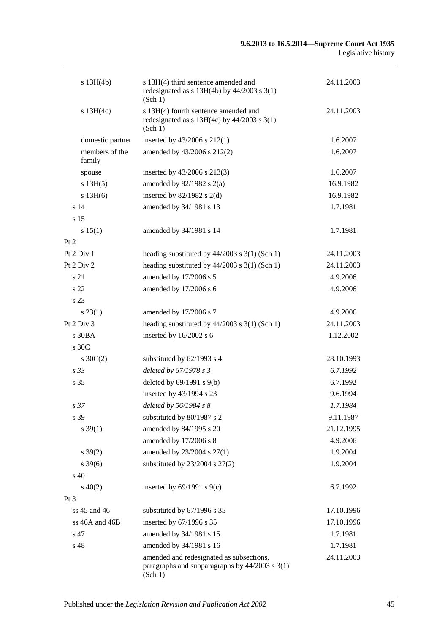| $s$ 13H(4b)              | s 13H(4) third sentence amended and<br>redesignated as $s$ 13H(4b) by 44/2003 $s$ 3(1)<br>(Sch 1)         | 24.11.2003 |
|--------------------------|-----------------------------------------------------------------------------------------------------------|------------|
| s 13H(4c)                | s 13H(4) fourth sentence amended and<br>redesignated as $s$ 13H(4c) by 44/2003 $s$ 3(1)<br>(Sch 1)        | 24.11.2003 |
| domestic partner         | inserted by 43/2006 s 212(1)                                                                              | 1.6.2007   |
| members of the<br>family | amended by 43/2006 s 212(2)                                                                               | 1.6.2007   |
| spouse                   | inserted by 43/2006 s 213(3)                                                                              | 1.6.2007   |
| s 13H(5)                 | amended by $82/1982$ s $2(a)$                                                                             | 16.9.1982  |
| $s$ 13H $(6)$            | inserted by $82/1982$ s $2(d)$                                                                            | 16.9.1982  |
| s <sub>14</sub>          | amended by 34/1981 s 13                                                                                   | 1.7.1981   |
| s 15                     |                                                                                                           |            |
| s 15(1)                  | amended by 34/1981 s 14                                                                                   | 1.7.1981   |
| Pt 2                     |                                                                                                           |            |
| Pt $2$ Div $1$           | heading substituted by $44/2003$ s $3(1)$ (Sch 1)                                                         | 24.11.2003 |
| Pt $2$ Div $2$           | heading substituted by $44/2003$ s $3(1)$ (Sch 1)                                                         | 24.11.2003 |
| s 21                     | amended by 17/2006 s 5                                                                                    | 4.9.2006   |
| s <sub>22</sub>          | amended by 17/2006 s 6                                                                                    | 4.9.2006   |
| s 23                     |                                                                                                           |            |
| $s\,23(1)$               | amended by 17/2006 s 7                                                                                    | 4.9.2006   |
| Pt 2 Div 3               | heading substituted by $44/2003$ s 3(1) (Sch 1)                                                           | 24.11.2003 |
| s30BA                    | inserted by 16/2002 s 6                                                                                   | 1.12.2002  |
| s 30C                    |                                                                                                           |            |
| $s \, 30C(2)$            | substituted by 62/1993 s 4                                                                                | 28.10.1993 |
| s <sub>33</sub>          | deleted by 67/1978 s 3                                                                                    | 6.7.1992   |
| s <sub>35</sub>          | deleted by $69/1991$ s $9(b)$                                                                             | 6.7.1992   |
|                          | inserted by 43/1994 s 23                                                                                  | 9.6.1994   |
| s <sub>37</sub>          | deleted by 56/1984 s 8                                                                                    | 1.7.1984   |
| s 39                     | substituted by 80/1987 s 2                                                                                | 9.11.1987  |
| $s \, 39(1)$             | amended by 84/1995 s 20                                                                                   | 21.12.1995 |
|                          | amended by 17/2006 s 8                                                                                    | 4.9.2006   |
| $s \, 39(2)$             | amended by 23/2004 s 27(1)                                                                                | 1.9.2004   |
| $s \, 39(6)$             | substituted by $23/2004$ s $27(2)$                                                                        | 1.9.2004   |
| $\rm s$ 40               |                                                                                                           |            |
| $s\ 40(2)$               | inserted by $69/1991$ s $9(c)$                                                                            | 6.7.1992   |
| $Pt\,3$                  |                                                                                                           |            |
| $ss$ 45 and 46           | substituted by 67/1996 s 35                                                                               | 17.10.1996 |
| ss 46A and 46B           | inserted by 67/1996 s 35                                                                                  | 17.10.1996 |
| s 47                     | amended by 34/1981 s 15                                                                                   | 1.7.1981   |
| s 48                     | amended by 34/1981 s 16                                                                                   | 1.7.1981   |
|                          | amended and redesignated as subsections,<br>paragraphs and subparagraphs by $44/2003$ s $3(1)$<br>(Sch 1) | 24.11.2003 |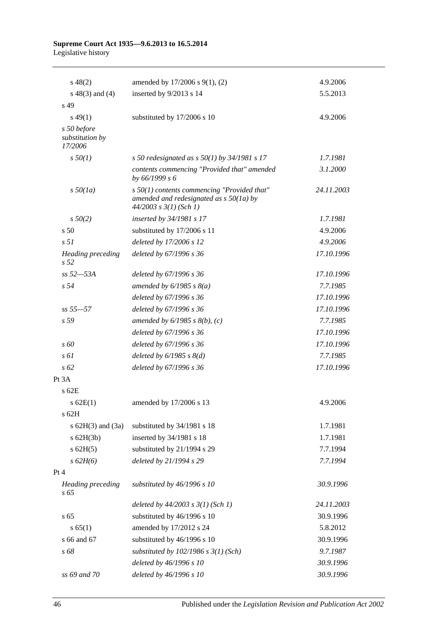| $s\ 48(2)$                                | amended by 17/2006 s 9(1), (2)                                                                                           | 4.9.2006   |
|-------------------------------------------|--------------------------------------------------------------------------------------------------------------------------|------------|
| $s\ 48(3)$ and (4)                        | inserted by 9/2013 s 14                                                                                                  | 5.5.2013   |
| s 49                                      |                                                                                                                          |            |
| $s\,49(1)$                                | substituted by 17/2006 s 10                                                                                              | 4.9.2006   |
| s 50 before<br>substitution by<br>17/2006 |                                                                                                                          |            |
| $s\,50(1)$                                | s 50 redesignated as s $50(1)$ by 34/1981 s 17                                                                           | 1.7.1981   |
|                                           | contents commencing "Provided that" amended<br>by 66/1999 s 6                                                            | 3.1.2000   |
| $s\,50(1a)$                               | $s$ 50(1) contents commencing "Provided that"<br>amended and redesignated as $s$ 50(1a) by<br>$44/2003$ s $3(1)$ (Sch 1) | 24.11.2003 |
| $s\,50(2)$                                | inserted by 34/1981 s 17                                                                                                 | 1.7.1981   |
| s <sub>50</sub>                           | substituted by 17/2006 s 11                                                                                              | 4.9.2006   |
| s <sub>51</sub>                           | deleted by 17/2006 s 12                                                                                                  | 4.9.2006   |
| Heading preceding<br>s <sub>52</sub>      | deleted by 67/1996 s 36                                                                                                  | 17.10.1996 |
| $ss 52 - 53A$                             | deleted by 67/1996 s 36                                                                                                  | 17.10.1996 |
| s <sub>54</sub>                           | amended by $6/1985$ s $8(a)$                                                                                             | 7.7.1985   |
|                                           | deleted by 67/1996 s 36                                                                                                  | 17.10.1996 |
| $ss 55 - 57$                              | deleted by 67/1996 s 36                                                                                                  | 17.10.1996 |
| s <sub>59</sub>                           | amended by $6/1985$ s $8(b)$ , (c)                                                                                       | 7.7.1985   |
|                                           | deleted by 67/1996 s 36                                                                                                  | 17.10.1996 |
| $\sqrt{s}$ 60                             | deleted by 67/1996 s 36                                                                                                  | 17.10.1996 |
| $s \omega$                                | deleted by $6/1985$ s $8(d)$                                                                                             | 7.7.1985   |
| $s\,62$                                   | deleted by 67/1996 s 36                                                                                                  | 17.10.1996 |
| Pt 3A                                     |                                                                                                                          |            |
| $s$ 62 $E$                                |                                                                                                                          |            |
| $s$ 62E(1)<br>s 62H                       | amended by 17/2006 s 13                                                                                                  | 4.9.2006   |
| s $62H(3)$ and $(3a)$                     | substituted by 34/1981 s 18                                                                                              | 1.7.1981   |
| $s$ 62H $(3b)$                            | inserted by 34/1981 s 18                                                                                                 | 1.7.1981   |
| $s$ 62H(5)                                | substituted by 21/1994 s 29                                                                                              | 7.7.1994   |
| $s\,62H(6)$                               | deleted by 21/1994 s 29                                                                                                  | 7.7.1994   |
| Pt 4                                      |                                                                                                                          |            |
| Heading preceding<br>s 65                 | substituted by 46/1996 s 10                                                                                              | 30.9.1996  |
|                                           | deleted by $44/2003$ s $3(1)$ (Sch 1)                                                                                    | 24.11.2003 |
| s <sub>65</sub>                           | substituted by 46/1996 s 10                                                                                              | 30.9.1996  |
| s 65(1)                                   | amended by 17/2012 s 24                                                                                                  | 5.8.2012   |
| s 66 and 67                               | substituted by 46/1996 s 10                                                                                              | 30.9.1996  |
| s 68                                      | substituted by $102/1986$ s $3(1)$ (Sch)                                                                                 | 9.7.1987   |
|                                           | deleted by 46/1996 s 10                                                                                                  | 30.9.1996  |
| ss 69 and 70                              | deleted by 46/1996 s 10                                                                                                  | 30.9.1996  |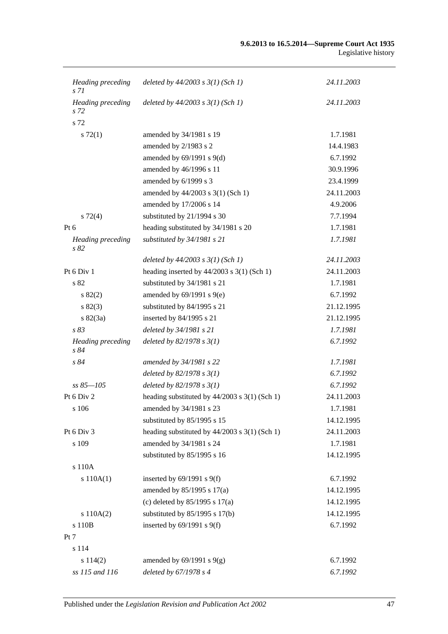| <b>Heading</b> preceding<br>s 71 | deleted by $44/2003$ s $3(1)$ (Sch 1)           | 24.11.2003 |
|----------------------------------|-------------------------------------------------|------------|
| Heading preceding<br>s 72        | deleted by $44/2003$ s $3(1)$ (Sch 1)           | 24.11.2003 |
| s 72                             |                                                 |            |
| s 72(1)                          | amended by 34/1981 s 19                         | 1.7.1981   |
|                                  | amended by 2/1983 s 2                           | 14.4.1983  |
|                                  | amended by $69/1991$ s $9(d)$                   | 6.7.1992   |
|                                  | amended by 46/1996 s 11                         | 30.9.1996  |
|                                  | amended by 6/1999 s 3                           | 23.4.1999  |
|                                  | amended by 44/2003 s 3(1) (Sch 1)               | 24.11.2003 |
|                                  | amended by 17/2006 s 14                         | 4.9.2006   |
| $s\ 72(4)$                       | substituted by 21/1994 s 30                     | 7.7.1994   |
| Pt $6$                           | heading substituted by 34/1981 s 20             | 1.7.1981   |
| Heading preceding<br>s 82        | substituted by 34/1981 s 21                     | 1.7.1981   |
|                                  | deleted by $44/2003$ s $3(1)$ (Sch 1)           | 24.11.2003 |
| Pt 6 Div 1                       | heading inserted by $44/2003$ s 3(1) (Sch 1)    | 24.11.2003 |
| s 82                             | substituted by 34/1981 s 21                     | 1.7.1981   |
| $s\,82(2)$                       | amended by $69/1991$ s $9(e)$                   | 6.7.1992   |
| s 82(3)                          | substituted by 84/1995 s 21                     | 21.12.1995 |
| $s \, 82(3a)$                    | inserted by 84/1995 s 21                        | 21.12.1995 |
| s83                              | deleted by 34/1981 s 21                         | 1.7.1981   |
| <b>Heading</b> preceding<br>s 84 | deleted by $82/1978 s 3(1)$                     | 6.7.1992   |
| s 84                             | amended by 34/1981 s 22                         | 1.7.1981   |
|                                  | deleted by $82/1978 s 3(1)$                     | 6.7.1992   |
| $ss 85 - 105$                    | deleted by $82/1978 s 3(1)$                     | 6.7.1992   |
| Pt 6 Div 2                       | heading substituted by $44/2003$ s 3(1) (Sch 1) | 24.11.2003 |
| s 106                            | amended by 34/1981 s 23                         | 1.7.1981   |
|                                  | substituted by 85/1995 s 15                     | 14.12.1995 |
| Pt 6 Div 3                       | heading substituted by $44/2003$ s 3(1) (Sch 1) | 24.11.2003 |
| s 109                            | amended by 34/1981 s 24                         | 1.7.1981   |
|                                  | substituted by 85/1995 s 16                     | 14.12.1995 |
| s 110A                           |                                                 |            |
| s 110A(1)                        | inserted by $69/1991$ s $9(f)$                  | 6.7.1992   |
|                                  | amended by 85/1995 s 17(a)                      | 14.12.1995 |
|                                  | (c) deleted by $85/1995$ s $17(a)$              | 14.12.1995 |
| s 110A(2)                        | substituted by $85/1995$ s 17(b)                | 14.12.1995 |
| s 110B                           | inserted by $69/1991$ s $9(f)$                  | 6.7.1992   |
| Pt 7                             |                                                 |            |
| s 114                            |                                                 |            |
| s 114(2)                         | amended by $69/1991$ s $9(g)$                   | 6.7.1992   |
| ss 115 and 116                   | deleted by 67/1978 s 4                          | 6.7.1992   |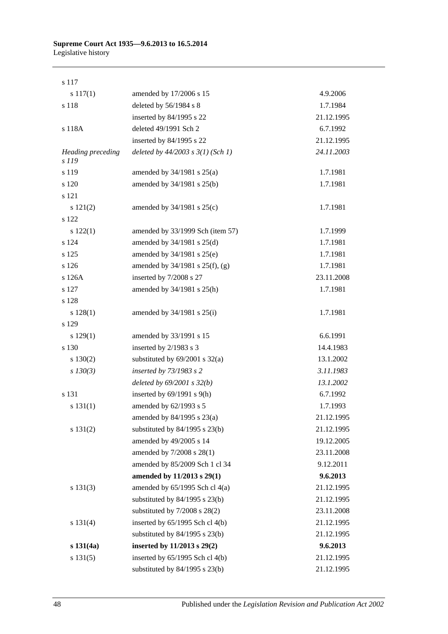s 117

| $s\ 117(1)$                       | amended by 17/2006 s 15               | 4.9.2006   |
|-----------------------------------|---------------------------------------|------------|
| s 118                             | deleted by 56/1984 s 8                | 1.7.1984   |
|                                   | inserted by 84/1995 s 22              | 21.12.1995 |
| s 118A                            | deleted 49/1991 Sch 2                 | 6.7.1992   |
|                                   | inserted by 84/1995 s 22              | 21.12.1995 |
| <b>Heading preceding</b><br>s 119 | deleted by $44/2003$ s $3(1)$ (Sch 1) | 24.11.2003 |
| s 119                             | amended by $34/1981$ s $25(a)$        | 1.7.1981   |
| s 120                             | amended by 34/1981 s 25(b)            | 1.7.1981   |
| s 121                             |                                       |            |
| s 121(2)                          | amended by $34/1981$ s $25(c)$        | 1.7.1981   |
| s 122                             |                                       |            |
| s 122(1)                          | amended by 33/1999 Sch (item 57)      | 1.7.1999   |
| s 124                             | amended by 34/1981 s 25(d)            | 1.7.1981   |
| s 125                             | amended by 34/1981 s 25(e)            | 1.7.1981   |
| s 126                             | amended by 34/1981 s 25(f), (g)       | 1.7.1981   |
| s 126A                            | inserted by 7/2008 s 27               | 23.11.2008 |
| s 127                             | amended by 34/1981 s 25(h)            | 1.7.1981   |
| s 128                             |                                       |            |
| s 128(1)                          | amended by 34/1981 s 25(i)            | 1.7.1981   |
| s 129                             |                                       |            |
| s 129(1)                          | amended by 33/1991 s 15               | 6.6.1991   |
| s 130                             | inserted by 2/1983 s 3                | 14.4.1983  |
| $s\ 130(2)$                       | substituted by $69/2001$ s $32(a)$    | 13.1.2002  |
| $s$ 130(3)                        | inserted by 73/1983 s 2               | 3.11.1983  |
|                                   | deleted by $69/2001 s 32(b)$          | 13.1.2002  |
| s 131                             | inserted by $69/1991$ s $9(h)$        | 6.7.1992   |
| s 131(1)                          | amended by 62/1993 s 5                | 1.7.1993   |
|                                   | amended by 84/1995 s 23(a)            | 21.12.1995 |
| s 131(2)                          | substituted by $84/1995$ s $23(b)$    | 21.12.1995 |
|                                   | amended by 49/2005 s 14               | 19.12.2005 |
|                                   | amended by 7/2008 s 28(1)             | 23.11.2008 |
|                                   | amended by 85/2009 Sch 1 cl 34        | 9.12.2011  |
|                                   | amended by 11/2013 s 29(1)            | 9.6.2013   |
| s 131(3)                          | amended by $65/1995$ Sch cl $4(a)$    | 21.12.1995 |
|                                   | substituted by $84/1995$ s $23(b)$    | 21.12.1995 |
|                                   | substituted by $7/2008$ s $28(2)$     | 23.11.2008 |
| s 131(4)                          | inserted by 65/1995 Sch cl 4(b)       | 21.12.1995 |
|                                   | substituted by $84/1995$ s $23(b)$    | 21.12.1995 |
| s 131(4a)                         | inserted by 11/2013 s 29(2)           | 9.6.2013   |
| s 131(5)                          | inserted by 65/1995 Sch cl 4(b)       | 21.12.1995 |
|                                   | substituted by 84/1995 s 23(b)        | 21.12.1995 |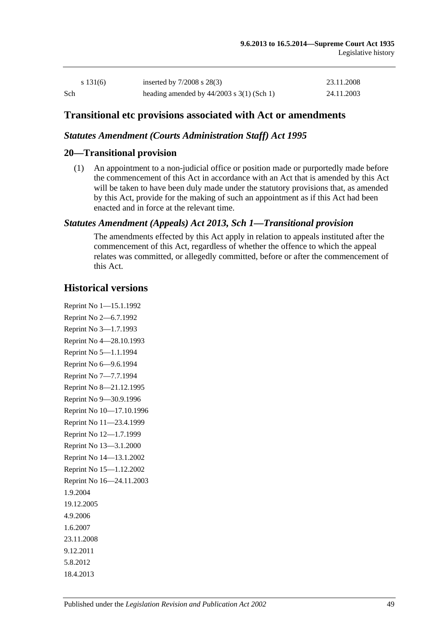| s 131(6) | inserted by $7/2008$ s $28(3)$              | 23.11.2008 |
|----------|---------------------------------------------|------------|
| Sch      | heading amended by $44/2003$ s 3(1) (Sch 1) | 24.11.2003 |

### **Transitional etc provisions associated with Act or amendments**

### *Statutes Amendment (Courts Administration Staff) Act 1995*

### **20—Transitional provision**

(1) An appointment to a non-judicial office or position made or purportedly made before the commencement of this Act in accordance with an Act that is amended by this Act will be taken to have been duly made under the statutory provisions that, as amended by this Act, provide for the making of such an appointment as if this Act had been enacted and in force at the relevant time.

### *Statutes Amendment (Appeals) Act 2013, Sch 1—Transitional provision*

The amendments effected by this Act apply in relation to appeals instituted after the commencement of this Act, regardless of whether the offence to which the appeal relates was committed, or allegedly committed, before or after the commencement of this Act.

### **Historical versions**

Reprint No 1—15.1.1992 Reprint No 2—6.7.1992 Reprint No 3—1.7.1993 Reprint No 4—28.10.1993 Reprint No 5—1.1.1994 Reprint No 6—9.6.1994 Reprint No 7—7.7.1994 Reprint No 8—21.12.1995 Reprint No 9—30.9.1996 Reprint No 10—17.10.1996 Reprint No 11—23.4.1999 Reprint No 12—1.7.1999 Reprint No 13—3.1.2000 Reprint No 14—13.1.2002 Reprint No 15—1.12.2002 Reprint No 16—24.11.2003 1.9.2004 19.12.2005 4.9.2006 1.6.2007 23.11.2008 9.12.2011 5.8.2012 18.4.2013